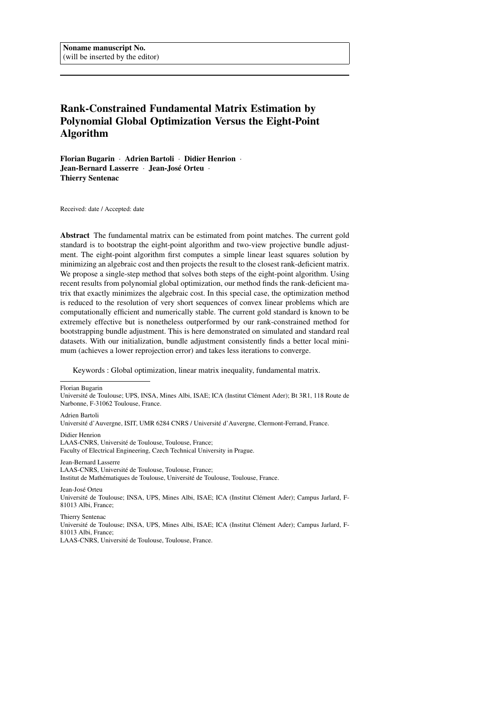# Rank-Constrained Fundamental Matrix Estimation by Polynomial Global Optimization Versus the Eight-Point Algorithm

Florian Bugarin · Adrien Bartoli · Didier Henrion · Jean-Bernard Lasserre · Jean-José Orteu · Thierry Sentenac

Received: date / Accepted: date

Abstract The fundamental matrix can be estimated from point matches. The current gold standard is to bootstrap the eight-point algorithm and two-view projective bundle adjustment. The eight-point algorithm first computes a simple linear least squares solution by minimizing an algebraic cost and then projects the result to the closest rank-deficient matrix. We propose a single-step method that solves both steps of the eight-point algorithm. Using recent results from polynomial global optimization, our method finds the rank-deficient matrix that exactly minimizes the algebraic cost. In this special case, the optimization method is reduced to the resolution of very short sequences of convex linear problems which are computationally efficient and numerically stable. The current gold standard is known to be extremely effective but is nonetheless outperformed by our rank-constrained method for bootstrapping bundle adjustment. This is here demonstrated on simulated and standard real datasets. With our initialization, bundle adjustment consistently finds a better local minimum (achieves a lower reprojection error) and takes less iterations to converge.

Keywords : Global optimization, linear matrix inequality, fundamental matrix.

Florian Bugarin Université de Toulouse; UPS, INSA, Mines Albi, ISAE; ICA (Institut Clément Ader); Bt 3R1, 118 Route de Narbonne, F-31062 Toulouse, France.

Adrien Bartoli Université d'Auvergne, ISIT, UMR 6284 CNRS / Université d'Auvergne, Clermont-Ferrand, France.

Didier Henrion LAAS-CNRS, Université de Toulouse, Toulouse, France; Faculty of Electrical Engineering, Czech Technical University in Prague.

Jean-Bernard Lasserre LAAS-CNRS, Université de Toulouse, Toulouse, France; Institut de Mathématiques de Toulouse, Université de Toulouse, Toulouse, France.

Jean-José Orteu Université de Toulouse; INSA, UPS, Mines Albi, ISAE; ICA (Institut Clément Ader); Campus Jarlard, F-81013 Albi, France;

Thierry Sentenac Université de Toulouse; INSA, UPS, Mines Albi, ISAE; ICA (Institut Clément Ader); Campus Jarlard, F-81013 Albi, France; LAAS-CNRS, Université de Toulouse, Toulouse, France.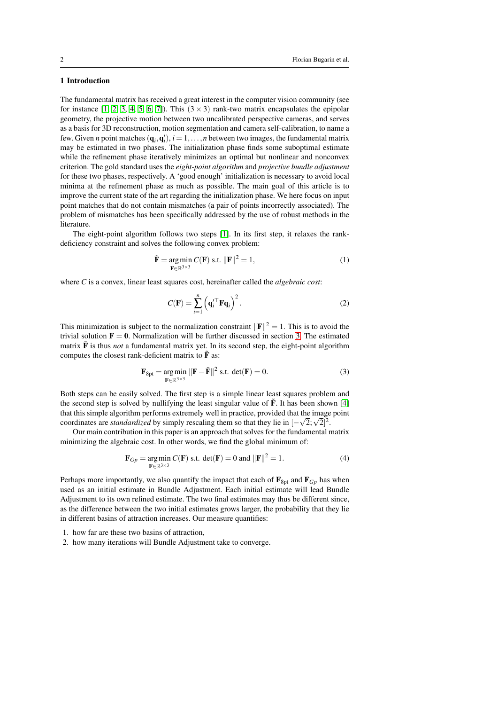# 1 Introduction

The fundamental matrix has received a great interest in the computer vision community (see for instance  $[1, 2, 3, 4, 5, 6, 7]$  $[1, 2, 3, 4, 5, 6, 7]$  $[1, 2, 3, 4, 5, 6, 7]$  $[1, 2, 3, 4, 5, 6, 7]$  $[1, 2, 3, 4, 5, 6, 7]$  $[1, 2, 3, 4, 5, 6, 7]$  $[1, 2, 3, 4, 5, 6, 7]$ . This  $(3 \times 3)$  rank-two matrix encapsulates the epipolar geometry, the projective motion between two uncalibrated perspective cameras, and serves as a basis for 3D reconstruction, motion segmentation and camera self-calibration, to name a few. Given *n* point matches  $(\mathbf{q}_i, \mathbf{q}'_i)$ ,  $i = 1, \ldots, n$  between two images, the fundamental matrix may be estimated in two phases. The initialization phase finds some suboptimal estimate while the refinement phase iteratively minimizes an optimal but nonlinear and nonconvex criterion. The gold standard uses the *eight-point algorithm* and *projective bundle adjustment* for these two phases, respectively. A 'good enough' initialization is necessary to avoid local minima at the refinement phase as much as possible. The main goal of this article is to improve the current state of the art regarding the initialization phase. We here focus on input point matches that do not contain mismatches (a pair of points incorrectly associated). The problem of mismatches has been specifically addressed by the use of robust methods in the literature.

The eight-point algorithm follows two steps [\[1\]](#page-20-0). In its first step, it relaxes the rankdeficiency constraint and solves the following convex problem:

$$
\tilde{\mathbf{F}} = \underset{\mathbf{F} \in \mathbb{R}^{3 \times 3}}{\arg \min} C(\mathbf{F}) \text{ s.t. } ||\mathbf{F}||^2 = 1,
$$
\n(1)

where *C* is a convex, linear least squares cost, hereinafter called the *algebraic cost*:

$$
C(\mathbf{F}) = \sum_{i=1}^{n} \left( \mathbf{q}'_{i}^{\top} \mathbf{F} \mathbf{q}_{i} \right)^{2}.
$$
 (2)

This minimization is subject to the normalization constraint  $\|\mathbf{F}\|^2 = 1$ . This is to avoid the trivial solution  $\mathbf{F} = \mathbf{0}$ . Normalization will be further discussed in section [3.](#page-4-0) The estimated matrix  $\tilde{F}$  is thus *not* a fundamental matrix yet. In its second step, the eight-point algorithm computes the closest rank-deficient matrix to  $\tilde{F}$  as:

$$
\mathbf{F}_{8pt} = \underset{\mathbf{F} \in \mathbb{R}^{3 \times 3}}{\arg \min} \|\mathbf{F} - \tilde{\mathbf{F}}\|^2 \text{ s.t. } \det(\mathbf{F}) = 0. \tag{3}
$$

Both steps can be easily solved. The first step is a simple linear least squares problem and the second step is solved by nullifying the least singular value of  $\tilde{F}$ . It has been shown [\[4\]](#page-20-3) that this simple algorithm performs extremely well in practice, provided that the image point coordinates are *standardized* by simply rescaling them so that they lie in  $[-\sqrt{2};\sqrt{2}]^2$ .

Our main contribution in this paper is an approach that solves for the fundamental matrix minimizing the algebraic cost. In other words, we find the global minimum of:

<span id="page-1-0"></span>
$$
\mathbf{F}_{Gp} = \underset{\mathbf{F} \in \mathbb{R}^{3 \times 3}}{\arg \min} C(\mathbf{F}) \text{ s.t. } \det(\mathbf{F}) = 0 \text{ and } ||\mathbf{F}||^2 = 1. \tag{4}
$$

Perhaps more importantly, we also quantify the impact that each of  $\mathbf{F}_{8pt}$  and  $\mathbf{F}_{Gp}$  has when used as an initial estimate in Bundle Adjustment. Each initial estimate will lead Bundle Adjustment to its own refined estimate. The two final estimates may thus be different since, as the difference between the two initial estimates grows larger, the probability that they lie in different basins of attraction increases. Our measure quantifies:

1. how far are these two basins of attraction,

2. how many iterations will Bundle Adjustment take to converge.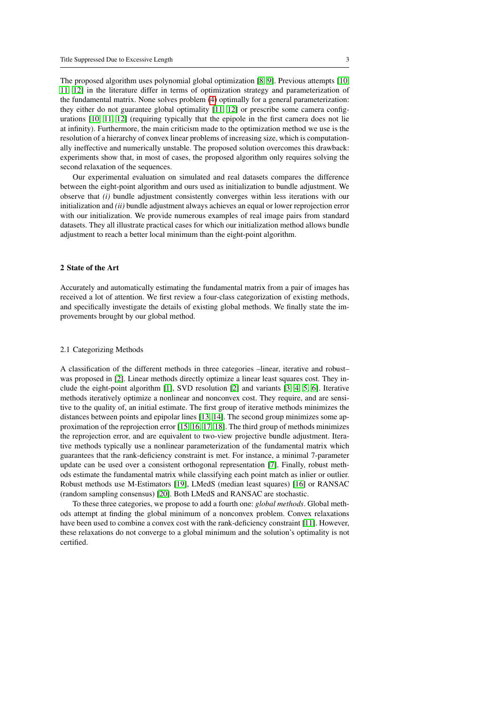The proposed algorithm uses polynomial global optimization [\[8,](#page-20-7) [9\]](#page-21-0). Previous attempts [\[10,](#page-21-1) [11,](#page-21-2) [12\]](#page-22-0) in the literature differ in terms of optimization strategy and parameterization of the fundamental matrix. None solves problem [\(4\)](#page-1-0) optimally for a general parameterization: they either do not guarantee global optimality [\[11,](#page-21-2) [12\]](#page-22-0) or prescribe some camera configurations [\[10,](#page-21-1) [11,](#page-21-2) [12\]](#page-22-0) (requiring typically that the epipole in the first camera does not lie at infinity). Furthermore, the main criticism made to the optimization method we use is the resolution of a hierarchy of convex linear problems of increasing size, which is computationally ineffective and numerically unstable. The proposed solution overcomes this drawback: experiments show that, in most of cases, the proposed algorithm only requires solving the second relaxation of the sequences.

Our experimental evaluation on simulated and real datasets compares the difference between the eight-point algorithm and ours used as initialization to bundle adjustment. We observe that *(i)* bundle adjustment consistently converges within less iterations with our initialization and *(ii)* bundle adjustment always achieves an equal or lower reprojection error with our initialization. We provide numerous examples of real image pairs from standard datasets. They all illustrate practical cases for which our initialization method allows bundle adjustment to reach a better local minimum than the eight-point algorithm.

# 2 State of the Art

Accurately and automatically estimating the fundamental matrix from a pair of images has received a lot of attention. We first review a four-class categorization of existing methods, and specifically investigate the details of existing global methods. We finally state the improvements brought by our global method.

### 2.1 Categorizing Methods

A classification of the different methods in three categories –linear, iterative and robust– was proposed in [\[2\]](#page-20-1). Linear methods directly optimize a linear least squares cost. They include the eight-point algorithm [\[1\]](#page-20-0), SVD resolution [\[2\]](#page-20-1) and variants [\[3,](#page-20-2) [4,](#page-20-3) [5,](#page-20-4) [6\]](#page-20-5). Iterative methods iteratively optimize a nonlinear and nonconvex cost. They require, and are sensitive to the quality of, an initial estimate. The first group of iterative methods minimizes the distances between points and epipolar lines [\[13,](#page-22-1) [14\]](#page-22-2). The second group minimizes some approximation of the reprojection error [\[15,](#page-22-3) [16,](#page-22-4) [17,](#page-22-5) [18\]](#page-23-0). The third group of methods minimizes the reprojection error, and are equivalent to two-view projective bundle adjustment. Iterative methods typically use a nonlinear parameterization of the fundamental matrix which guarantees that the rank-deficiency constraint is met. For instance, a minimal 7-parameter update can be used over a consistent orthogonal representation [\[7\]](#page-20-6). Finally, robust methods estimate the fundamental matrix while classifying each point match as inlier or outlier. Robust methods use M-Estimators [\[19\]](#page-23-1), LMedS (median least squares) [\[16\]](#page-22-4) or RANSAC (random sampling consensus) [\[20\]](#page-23-2). Both LMedS and RANSAC are stochastic.

To these three categories, we propose to add a fourth one: *global methods*. Global methods attempt at finding the global minimum of a nonconvex problem. Convex relaxations have been used to combine a convex cost with the rank-deficiency constraint [\[11\]](#page-21-2). However, these relaxations do not converge to a global minimum and the solution's optimality is not certified.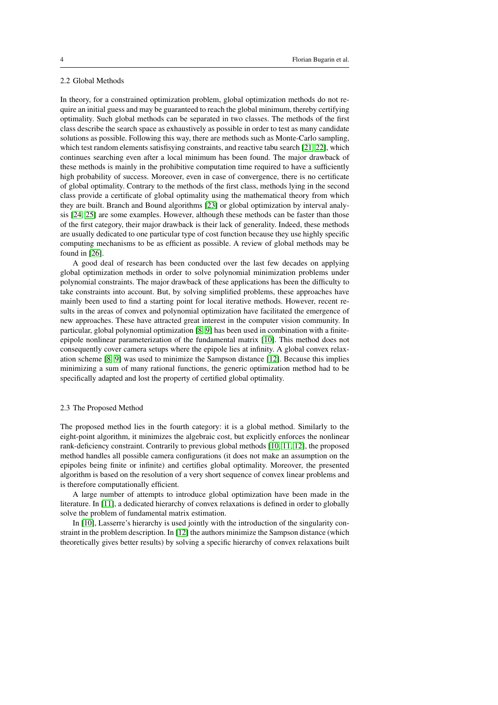# 2.2 Global Methods

In theory, for a constrained optimization problem, global optimization methods do not require an initial guess and may be guaranteed to reach the global minimum, thereby certifying optimality. Such global methods can be separated in two classes. The methods of the first class describe the search space as exhaustively as possible in order to test as many candidate solutions as possible. Following this way, there are methods such as Monte-Carlo sampling, which test random elements satisfisying constraints, and reactive tabu search [\[21,](#page-24-0) [22\]](#page-24-1), which continues searching even after a local minimum has been found. The major drawback of these methods is mainly in the prohibitive computation time required to have a sufficiently high probability of success. Moreover, even in case of convergence, there is no certificate of global optimality. Contrary to the methods of the first class, methods lying in the second class provide a certificate of global optimality using the mathematical theory from which they are built. Branch and Bound algorithms [\[23\]](#page-24-2) or global optimization by interval analysis [\[24,](#page-24-3) [25\]](#page-24-4) are some examples. However, although these methods can be faster than those of the first category, their major drawback is their lack of generality. Indeed, these methods are usually dedicated to one particular type of cost function because they use highly specific computing mechanisms to be as efficient as possible. A review of global methods may be found in [\[26\]](#page-24-5).

A good deal of research has been conducted over the last few decades on applying global optimization methods in order to solve polynomial minimization problems under polynomial constraints. The major drawback of these applications has been the difficulty to take constraints into account. But, by solving simplified problems, these approaches have mainly been used to find a starting point for local iterative methods. However, recent results in the areas of convex and polynomial optimization have facilitated the emergence of new approaches. These have attracted great interest in the computer vision community. In particular, global polynomial optimization [\[8,](#page-20-7) [9\]](#page-21-0) has been used in combination with a finiteepipole nonlinear parameterization of the fundamental matrix [\[10\]](#page-21-1). This method does not consequently cover camera setups where the epipole lies at infinity. A global convex relaxation scheme [\[8,](#page-20-7) [9\]](#page-21-0) was used to minimize the Sampson distance [\[12\]](#page-22-0). Because this implies minimizing a sum of many rational functions, the generic optimization method had to be specifically adapted and lost the property of certified global optimality.

### 2.3 The Proposed Method

The proposed method lies in the fourth category: it is a global method. Similarly to the eight-point algorithm, it minimizes the algebraic cost, but explicitly enforces the nonlinear rank-deficiency constraint. Contrarily to previous global methods [\[10,](#page-21-1) [11,](#page-21-2) [12\]](#page-22-0), the proposed method handles all possible camera configurations (it does not make an assumption on the epipoles being finite or infinite) and certifies global optimality. Moreover, the presented algorithm is based on the resolution of a very short sequence of convex linear problems and is therefore computationally efficient.

A large number of attempts to introduce global optimization have been made in the literature. In [\[11\]](#page-21-2), a dedicated hierarchy of convex relaxations is defined in order to globally solve the problem of fundamental matrix estimation.

In [\[10\]](#page-21-1), Lasserre's hierarchy is used jointly with the introduction of the singularity constraint in the problem description. In [\[12\]](#page-22-0) the authors minimize the Sampson distance (which theoretically gives better results) by solving a specific hierarchy of convex relaxations built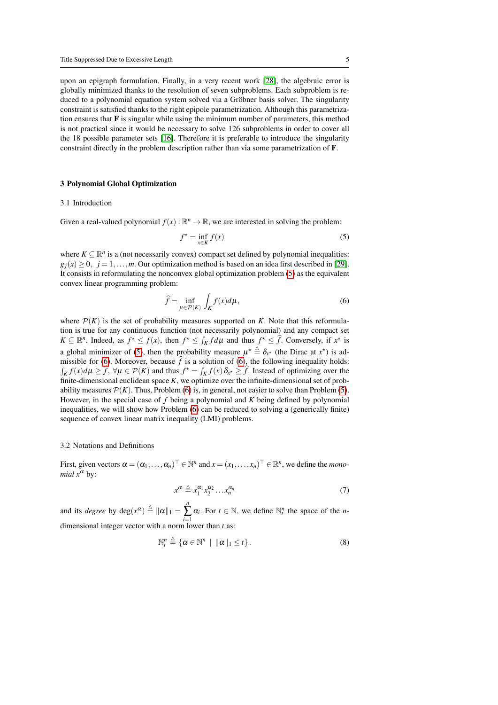upon an epigraph formulation. Finally, in a very recent work [\[28\]](#page-25-0), the algebraic error is globally minimized thanks to the resolution of seven subproblems. Each subproblem is reduced to a polynomial equation system solved via a Gröbner basis solver. The singularity constraint is satisfied thanks to the right epipole parametrization. Although this parametrization ensures that  $\bf{F}$  is singular while using the minimum number of parameters, this method is not practical since it would be necessary to solve 126 subproblems in order to cover all the 18 possible parameter sets [\[16\]](#page-22-4). Therefore it is preferable to introduce the singularity constraint directly in the problem description rather than via some parametrization of F.

### <span id="page-4-0"></span>3 Polynomial Global Optimization

#### 3.1 Introduction

Given a real-valued polynomial  $f(x)$ :  $\mathbb{R}^n \to \mathbb{R}$ , we are interested in solving the problem:

<span id="page-4-1"></span>
$$
f^* = \inf_{x \in K} f(x) \tag{5}
$$

where  $K \subseteq \mathbb{R}^n$  is a (not necessarily convex) compact set defined by polynomial inequalities:  $g_i(x) \geq 0$ ,  $j = 1, \ldots, m$ . Our optimization method is based on an idea first described in [\[29\]](#page-25-1). It consists in reformulating the nonconvex global optimization problem [\(5\)](#page-4-1) as the equivalent convex linear programming problem:

<span id="page-4-2"></span>
$$
\widehat{f} = \inf_{\mu \in \mathcal{P}(K)} \int_{K} f(x) d\mu,\tag{6}
$$

where  $\mathcal{P}(K)$  is the set of probability measures supported on *K*. Note that this reformulation is true for any continuous function (not necessarily polynomial) and any compact set  $K \subseteq \mathbb{R}^n$ . Indeed, as  $f^* \le f(x)$ , then  $f^* \le \int_K f d\mu$  and thus  $f^* \le \hat{f}$ . Conversely, if  $x^*$  is a global minimizer of [\(5\)](#page-4-1), then the probability measure  $\mu^* \triangleq \delta_{x^*}$  (the Dirac at  $x^*$ ) is ad-missible for [\(6\)](#page-4-2). Moreover, because  $\hat{f}$  is a solution of (6), the following inequality holds:  $\int_K f(x) d\mu \ge \widehat{f}$ ,  $\forall \mu \in \mathcal{P}(K)$  and thus  $f^* = \int_K f(x) \, \delta_{x^*} \ge \widehat{f}$ . Instead of optimizing over the finite-dimensional euclidean space *K*, we optimize over the infinite-dimensional set of probability measures  $\mathcal{P}(K)$ . Thus, Problem [\(6\)](#page-4-2) is, in general, not easier to solve than Problem [\(5\)](#page-4-1). However, in the special case of *f* being a polynomial and *K* being defined by polynomial inequalities, we will show how Problem [\(6\)](#page-4-2) can be reduced to solving a (generically finite) sequence of convex linear matrix inequality (LMI) problems.

# 3.2 Notations and Definitions

First, given vectors  $\alpha = (\alpha_1, ..., \alpha_n)^\top \in \mathbb{N}^n$  and  $x = (x_1, ..., x_n)^\top \in \mathbb{R}^n$ , we define the *monomial*  $x^{\alpha}$  by:

$$
x^{\alpha} \stackrel{\Delta}{=} x_1^{\alpha_1} x_2^{\alpha_2} \dots x_n^{\alpha_n} \tag{7}
$$

and its *degree* by  $deg(x^{\alpha}) \triangleq ||\alpha||_1 = \sum_{i=1}^n$  $\alpha_i$ . For  $t \in \mathbb{N}$ , we define  $\mathbb{N}_t^n$  the space of the *n*dimensional integer vector with a norm lower than *t* as:

$$
\mathbb{N}_t^n \triangleq \{ \alpha \in \mathbb{N}^n \mid \|\alpha\|_1 \leq t \}. \tag{8}
$$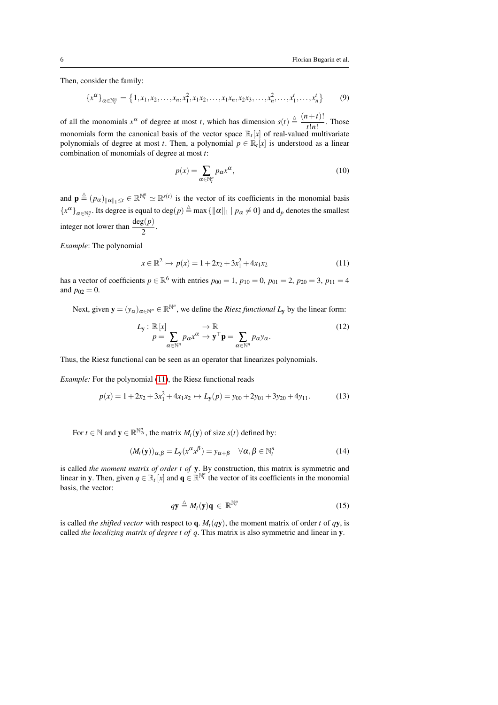Then, consider the family:

$$
\{x^{\alpha}\}_{\alpha \in \mathbb{N}_l^n} = \{1, x_1, x_2, \dots, x_n, x_1^2, x_1x_2, \dots, x_1x_n, x_2x_3, \dots, x_n^2, \dots, x_1^1, \dots, x_n^t\}
$$
(9)

of all the monomials  $x^{\alpha}$  of degree at most *t*, which has dimension  $s(t) \triangleq \frac{(n+t)!}{(n+r)!}$  $\frac{t^{n+1}}{t!n!}$ . Those monomials form the canonical basis of the vector space  $\mathbb{R}_t[x]$  of real-valued multivariate polynomials of degree at most *t*. Then, a polynomial  $p \in \mathbb{R}_t[x]$  is understood as a linear combination of monomials of degree at most *t*:

$$
p(x) = \sum_{\alpha \in \mathbb{N}_l^n} p_{\alpha} x^{\alpha},\tag{10}
$$

and  $\mathbf{p} \triangleq (p_{\alpha})_{\|\alpha\|_1 \leq t} \in \mathbb{R}^{N_t^n} \simeq \mathbb{R}^{s(t)}$  is the vector of its coefficients in the monomial basis  ${x^{\alpha}}_{\alpha \in \mathbb{N}_t^n}$ . Its degree is equal to deg(*p*)  $\triangleq$  max  $\{\|\alpha\|_1 \mid p_{\alpha} \neq 0\}$  and  $d_p$  denotes the smallest integer not lower than  $\frac{\deg(p)}{2}$ .

*Example*: The polynomial

<span id="page-5-0"></span>
$$
x \in \mathbb{R}^2 \mapsto p(x) = 1 + 2x_2 + 3x_1^2 + 4x_1x_2 \tag{11}
$$

has a vector of coefficients  $p \in \mathbb{R}^6$  with entries  $p_{00} = 1$ ,  $p_{10} = 0$ ,  $p_{01} = 2$ ,  $p_{20} = 3$ ,  $p_{11} = 4$ and  $p_{02} = 0$ .

Next, given  $\mathbf{y} = (y_\alpha)_{\alpha \in \mathbb{N}^n} \in \mathbb{R}^{\mathbb{N}^n}$ , we define the *Riesz functional*  $L_\mathbf{y}$  by the linear form:

$$
L_{\mathbf{y}} : \mathbb{R}[x] \longrightarrow p = \sum_{\alpha \in \mathbb{N}^n} p_{\alpha} x^{\alpha} \to \mathbf{y}^{\top} \mathbf{p} = \sum_{\alpha \in \mathbb{N}^n} p_{\alpha} y_{\alpha}.
$$
 (12)

Thus, the Riesz functional can be seen as an operator that linearizes polynomials.

*Example:* For the polynomial [\(11\)](#page-5-0), the Riesz functional reads

$$
p(x) = 1 + 2x_2 + 3x_1^2 + 4x_1x_2 \mapsto L_y(p) = y_{00} + 2y_{01} + 3y_{20} + 4y_{11}.
$$
 (13)

For  $t \in \mathbb{N}$  and  $y \in \mathbb{R}^{\mathbb{N}_{2t}^{n}}$ , the matrix  $M_t(y)$  of size  $s(t)$  defined by:

$$
(M_t(\mathbf{y}))_{\alpha,\beta} = L_{\mathbf{y}}(x^{\alpha}x^{\beta}) = y_{\alpha+\beta} \quad \forall \alpha, \beta \in \mathbb{N}_t^n
$$
 (14)

is called *the moment matrix of order t of* y. By construction, this matrix is symmetric and linear in y. Then, given  $q \in \mathbb{R}^l$  [*x*] and  $q \in \mathbb{R}^{N_l^n}$  the vector of its coefficients in the monomial basis, the vector:

$$
q\mathbf{y} \stackrel{\Delta}{=} M_t(\mathbf{y})\mathbf{q} \in \mathbb{R}^{\mathbb{N}_t^n} \tag{15}
$$

is called *the shifted vector* with respect to  $q$ .  $M_t(qy)$ , the moment matrix of order *t* of *qy*, is called *the localizing matrix of degree t of q*. This matrix is also symmetric and linear in y.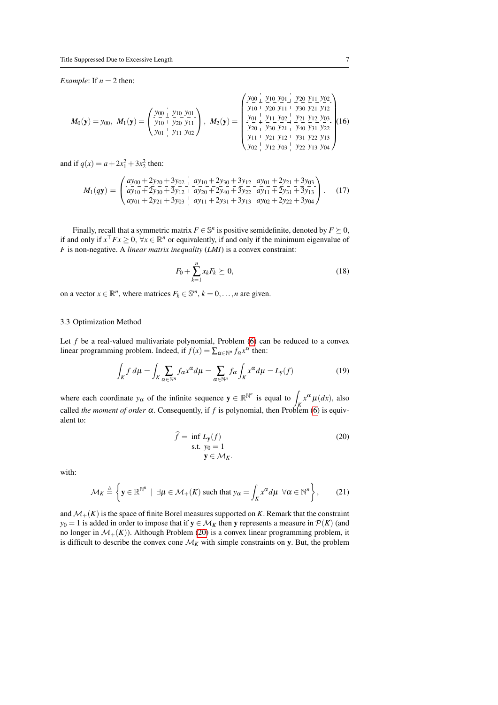*Example*: If  $n = 2$  then:

$$
M_0(\mathbf{y}) = y_{00}, M_1(\mathbf{y}) = \begin{pmatrix} y_{00} & y_{10} & y_{01} \ y_{10} & y_{20} & y_{11} \ y_{11} & y_{02} \end{pmatrix}, M_2(\mathbf{y}) = \begin{pmatrix} y_{00} & y_{10} & y_{01} & y_{20} & y_{11} & y_{20} \ y_{10} & y_{20} & y_{11} & y_{30} & y_{21} & y_{12} \ y_{01} & y_{11} & y_{02} \end{pmatrix} (16)
$$
  
\n
$$
y_{01} + y_{11} y_{02} + y_{11} y_{02} + y_{11} y_{02} + y_{11} y_{11} y_{02} + y_{11} y_{12} y_{11} y_{12} + y_{11} y_{12} y_{12} y_{13} y_{14}
$$

and if  $q(x) = a + 2x_1^2 + 3x_2^2$  then:

$$
M_1(q\mathbf{y}) = \begin{pmatrix} \frac{ay_{00} + 2y_{20} + 3y_{02}}{ay_{10} + 2y_{30} + 3y_{12}} & \frac{ay_{10} + 2y_{30} + 3y_{12}}{ay_{20} + 2y_{40} + 3y_{22}} & \frac{ay_{01} + 2y_{21} + 3y_{03}}{ay_{11} + 2y_{31} + 3y_{13}} \\ ay_{01} + 2y_{21} + 3y_{03} & \frac{ay_{11} + 2y_{31} + 3y_{13}}{ay_{11} + 2y_{31} + 3y_{13}} & \frac{ay_{02} + 2y_{22} + 3y_{04}}{ay_{02} + 2y_{22} + 3y_{04}} \end{pmatrix}.
$$
 (17)

Finally, recall that a symmetric matrix  $F \in \mathbb{S}^n$  is positive semidefinite, denoted by  $F \succeq 0$ , if and only if  $x^\top F x \geq 0$ ,  $\forall x \in \mathbb{R}^n$  or equivalently, if and only if the minimum eigenvalue of *F* is non-negative. A *linear matrix inequality* (*LMI*) is a convex constraint:

$$
F_0 + \sum_{k=1}^{n} x_k F_k \succeq 0,\tag{18}
$$

on a vector  $x \in \mathbb{R}^n$ , where matrices  $F_k \in \mathbb{S}^m$ ,  $k = 0, \ldots, n$  are given.

# 3.3 Optimization Method

Let  $f$  be a real-valued multivariate polynomial, Problem  $(6)$  can be reduced to a convex linear programming problem. Indeed, if  $f(x) = \sum_{\alpha \in \mathbb{N}^n} f_{\alpha} x^{\alpha}$  then:

$$
\int_{K} f d\mu = \int_{K} \sum_{\alpha \in \mathbb{N}^{n}} f_{\alpha} x^{\alpha} d\mu = \sum_{\alpha \in \mathbb{N}^{n}} f_{\alpha} \int_{K} x^{\alpha} d\mu = L_{\mathbf{y}}(f)
$$
\n(19)

where each coordinate  $y_\alpha$  of the infinite sequence  $y \in \mathbb{R}^{\mathbb{N}^n}$  is equal to  $\int_K x^\alpha \mu(dx)$ , also called *the moment of order*  $\alpha$ . Consequently, if f is polynomial, then Problem [\(6\)](#page-4-2) is equivalent to:

<span id="page-6-0"></span>
$$
\hat{f} = \inf_{S} L_{\mathbf{y}}(f) \tag{20}
$$
\n
$$
\text{s.t. } y_0 = 1 \quad \mathbf{y} \in \mathcal{M}_K.
$$

with:

$$
\mathcal{M}_K \stackrel{\triangle}{=} \left\{ \mathbf{y} \in \mathbb{R}^{\mathbb{N}^n} \mid \exists \mu \in \mathcal{M}_+(K) \text{ such that } y_\alpha = \int_K x^\alpha d\mu \,\,\forall \alpha \in \mathbb{N}^n \right\},\qquad(21)
$$

and  $\mathcal{M}_+(K)$  is the space of finite Borel measures supported on *K*. Remark that the constraint *y*<sub>0</sub> = 1 is added in order to impose that if  $y \in M_K$  then y represents a measure in  $P(K)$  (and no longer in  $\mathcal{M}_+(K)$ ). Although Problem [\(20\)](#page-6-0) is a convex linear programming problem, it is difficult to describe the convex cone  $\mathcal{M}_K$  with simple constraints on y. But, the problem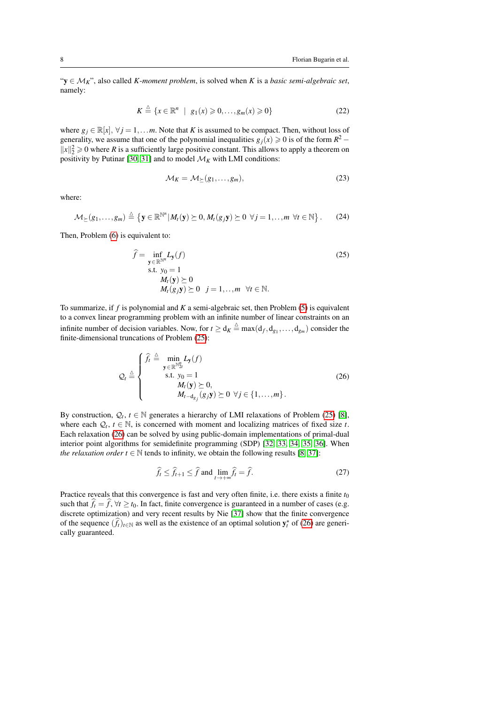"y ∈ M*K*", also called *K*-*moment problem*, is solved when *K* is a *basic semi-algebraic set*, namely:

$$
K \stackrel{\triangle}{=} \{x \in \mathbb{R}^n \mid g_1(x) \geqslant 0, \dots, g_m(x) \geqslant 0\}
$$
\n<sup>(22)</sup>

where  $g_j \in \mathbb{R}[x]$ ,  $\forall j = 1, \ldots m$ . Note that *K* is assumed to be compact. Then, without loss of generality, we assume that one of the polynomial inequalities  $g_j(x) \ge 0$  is of the form  $R^2$  –  $||x||_2^2 \ge 0$  where *R* is a sufficiently large positive constant. This allows to apply a theorem on positivity by Putinar [\[30,](#page-25-2) [31\]](#page-25-3) and to model  $\mathcal{M}_K$  with LMI conditions:

$$
\mathcal{M}_K = \mathcal{M}_{\succeq}(g_1, \dots, g_m), \tag{23}
$$

where:

$$
\mathcal{M}_{\succeq}(g_1,\ldots,g_m)\stackrel{\triangle}{=}\left\{\mathbf{y}\in\mathbb{R}^{\mathbb{N}^n}|\,M_t(\mathbf{y})\succeq 0,M_t(g_j\mathbf{y})\succeq 0\,\,\forall j=1,\ldots,m\,\,\forall t\in\mathbb{N}\right\}.
$$
 (24)

Then, Problem [\(6\)](#page-4-2) is equivalent to:

<span id="page-7-0"></span>
$$
\hat{f} = \inf_{\mathbf{y} \in \mathbb{R}^{\mathbb{N}^n}} L_{\mathbf{y}}(f)
$$
\n
$$
\text{s.t. } y_0 = 1
$$
\n
$$
M_t(\mathbf{y}) \succeq 0
$$
\n
$$
M_t(g_j \mathbf{y}) \succeq 0 \quad j = 1, ..., m \quad \forall t \in \mathbb{N}.
$$
\n(25)

To summarize, if *f* is polynomial and *K* a semi-algebraic set, then Problem [\(5\)](#page-4-1) is equivalent to a convex linear programming problem with an infinite number of linear constraints on an infinite number of decision variables. Now, for  $t \ge d_K \stackrel{\Delta}{=} \max(d_f, d_{g_1}, \ldots, d_{g_m})$  consider the finite-dimensional truncations of Problem [\(25\)](#page-7-0):

<span id="page-7-1"></span>
$$
Q_t \triangleq \begin{cases} \n\widehat{f}_t \triangleq \min_{\mathbf{y} \in \mathbb{R}^{N_2^n}} L_{\mathbf{y}}(f) \\
\text{s.t. } y_0 = 1 \\
M_t(\mathbf{y}) \succeq 0, \\
M_{t-\mathrm{d}_{g_j}}(g_j \mathbf{y}) \succeq 0 \,\,\forall j \in \{1, \ldots, m\}.\n\end{cases} \tag{26}
$$

By construction,  $Q_t, t \in \mathbb{N}$  generates a hierarchy of LMI relaxations of Problem [\(25\)](#page-7-0) [\[8\]](#page-20-7), where each  $Q_t$ ,  $t \in \mathbb{N}$ , is concerned with moment and localizing matrices of fixed size *t*. Each relaxation [\(26\)](#page-7-1) can be solved by using public-domain implementations of primal-dual interior point algorithms for semidefinite programming (SDP) [\[32,](#page-25-4) [33,](#page-26-0) [34,](#page-26-1) [35,](#page-26-2) [36\]](#page-27-0). When *the relaxation order t*  $\in \mathbb{N}$  tends to infinity, we obtain the following results [\[8,](#page-20-7) [37\]](#page-27-1):

$$
\widehat{f}_t \le \widehat{f}_{t+1} \le \widehat{f} \text{ and } \lim_{t \to +\infty} \widehat{f}_t = \widehat{f}. \tag{27}
$$

Practice reveals that this convergence is fast and very often finite, i.e. there exists a finite  $t_0$ such that  $\hat{f}_t = \hat{f}$ ,  $\forall t \geq t_0$ . In fact, finite convergence is guaranteed in a number of cases (e.g. discrete optimization) and very recent results by Nie [\[37\]](#page-27-1) show that the finite convergence of the sequence  $(\hat{f}_t)_{t \in \mathbb{N}}$  as well as the existence of an optimal solution  $y_t^*$  of [\(26\)](#page-7-1) are generically guaranteed.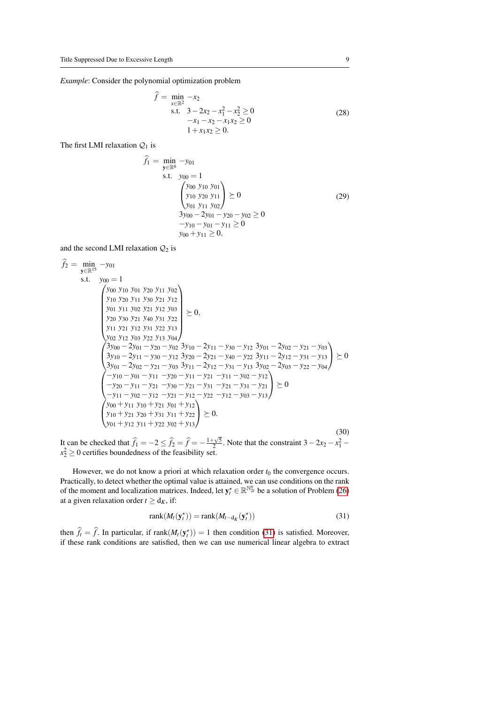*Example*: Consider the polynomial optimization problem

<span id="page-8-1"></span>
$$
\hat{f} = \min_{x \in \mathbb{R}^2} -x_2
$$
  
s.t.  $3 - 2x_2 - x_1^2 - x_2^2 \ge 0$   
 $-x_1 - x_2 - x_1x_2 \ge 0$   
 $1 + x_1x_2 \ge 0.$  (28)

The first LMI relaxation  $Q_1$  is

$$
\hat{f}_1 = \min_{\mathbf{y} \in \mathbb{R}^6} -y_{01} \ns.t. \quad y_{00} = 1 \n\begin{pmatrix} y_{00} & y_{10} & y_{01} \\ y_{10} & y_{20} & y_{11} \\ y_{01} & y_{11} & y_{02} \end{pmatrix} \succeq 0 \n\frac{3y_{00} - 2y_{01} - y_{20} - y_{02} \ge 0 \n-y_{10} - y_{01} - y_{11} \ge 0
$$
\n
$$
(29)
$$
\n
$$
y_{00} + y_{11} \ge 0,
$$

and the second LMI relaxation  $Q_2$  is

$$
\hat{f}_2 = \min_{\mathbf{y} \in \mathbb{R}^{15}} -y_{01}
$$
\ns.t.  $y_{00} = 1$   
\n
$$
\begin{pmatrix}\ny_{00} & y_{10} & y_{01} & y_{20} & y_{11} & y_{02} \\
y_{10} & y_{20} & y_{11} & y_{30} & y_{21} & y_{12} \\
y_{01} & y_{11} & y_{02} & y_{21} & y_{12} & y_{03} \\
y_{20} & y_{30} & y_{21} & y_{40} & y_{31} & y_{22} \\
y_{11} & y_{21} & y_{12} & y_{31} & y_{22} & y_{13} \\
y_{02} & y_{12} & y_{03} & y_{22} & y_{13} & y_{04}\n\end{pmatrix} \succeq 0,
$$
\n
$$
\begin{pmatrix}\n3y_{00} - 2y_{01} - y_{20} - y_{02} & 3y_{10} - 2y_{11} - y_{30} - y_{12} & 3y_{01} - 2y_{02} - y_{21} - y_{03} \\
3y_{10} - 2y_{11} - y_{30} - y_{12} & 3y_{20} - 2y_{21} - y_{40} - y_{22} & 3y_{11} - 2y_{12} - y_{31} - y_{13} \\
3y_{01} - 2y_{02} - y_{21} - y_{03} & 3y_{11} - 2y_{12} - y_{31} - y_{13} & 3y_{02} - 2y_{03} - y_{22} - y_{04}\n\end{pmatrix} \succeq 0
$$
\n
$$
\begin{pmatrix}\n-y_{10} - y_{01} - y_{11} - y_{20} - y_{11} - y_{21} - y_{11} - y_{02} - y_{12} \\
-y_{20} - y_{11} - y_{21} - y_{30} - y_{21} - y_{31} - y_{21} - y_{31} - y_{21} \\
-y_{11} - y_{02} - y_{12} - y_{21} - y_{12} - y_{22} - y_{12} - y_{03} - y_{13}\n\end{pmatrix} \suc
$$

It can be checked that  $\hat{f}_1 = -2 \le \hat{f}_2 = \hat{f} = -\frac{1+\sqrt{5}}{2}$ . Note that the constraint  $3-2x_2-x_1^2$  –  $x_2^2 \ge 0$  certifies boundedness of the feasibility set.

However, we do not know a priori at which relaxation order  $t_0$  the convergence occurs. Practically, to detect whether the optimal value is attained, we can use conditions on the rank of the moment and localization matrices. Indeed, let  $y_t^* \in \mathbb{R}^{\mathbb{N}_{2t}^n}$  be a solution of Problem [\(26\)](#page-7-1) at a given relaxation order  $t \ge d_K$ , if:

<span id="page-8-0"></span>
$$
rank(M_t(\mathbf{y}_t^*)) = rank(M_{t-d_K}(\mathbf{y}_t^*))
$$
\n(31)

then  $\hat{f}_t = \hat{f}$ . In particular, if rank $(M_t(\mathbf{y}_t^*)) = 1$  then condition [\(31\)](#page-8-0) is satisfied. Moreover, if these rank conditions are satisfied, then we can use numerical linear algebra to extract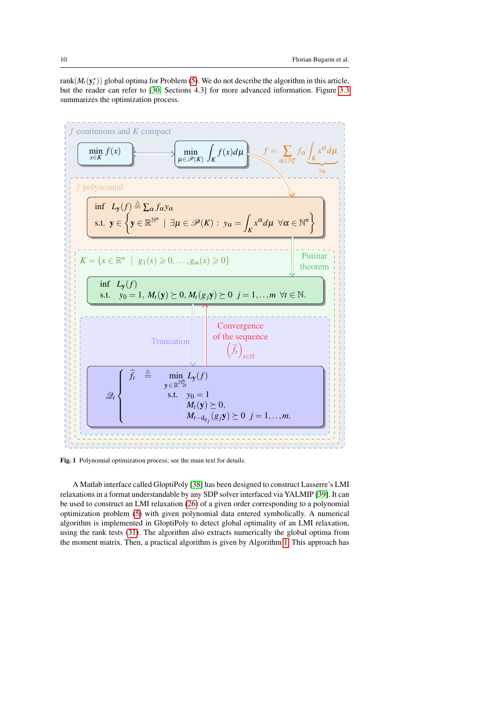rank $(M_t(\mathbf{y}_t^*))$  global optima for Problem [\(5\)](#page-4-1). We do not describe the algorithm in this article, but the reader can refer to [\[30,](#page-25-2) Sections 4.3] for more advanced information. Figure [3.3](#page-8-0) summarizes the optimization process.



Fig. 1 Polynomial optimization process; see the main text for details.

A Matlab interface called GloptiPoly [\[38\]](#page-27-2) has been designed to construct Lasserre's LMI relaxations in a format understandable by any SDP solver interfaced via YALMIP [\[39\]](#page-27-3). It can be used to construct an LMI relaxation [\(26\)](#page-7-1) of a given order corresponding to a polynomial optimization problem [\(5\)](#page-4-1) with given polynomial data entered symbolically. A numerical algorithm is implemented in GloptiPoly to detect global optimality of an LMI relaxation, using the rank tests [\(31\)](#page-8-0). The algorithm also extracts numerically the global optima from the moment matrix. Then, a practical algorithm is given by Algorithm [1.](#page-10-0) This approach has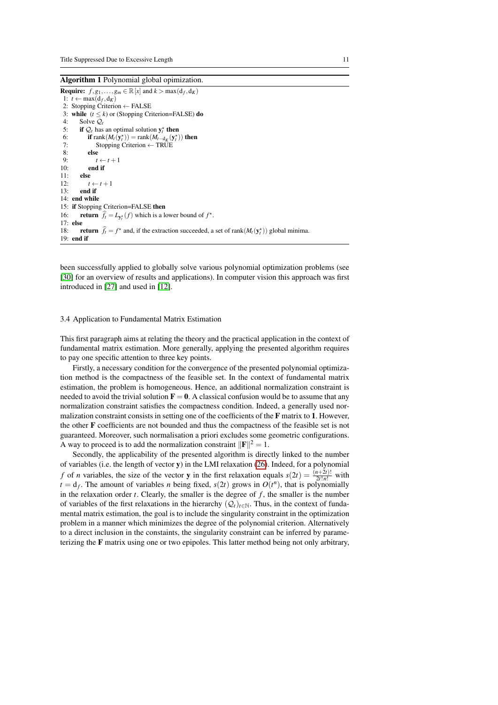<span id="page-10-0"></span>Algorithm 1 Polynomial global opimization.

**Require:**  $f, g_1, \ldots, g_m \in \mathbb{R}[x]$  and  $k > \max(d_f, d_K)$ 1: *t* ← max $(d_f, d_K)$ 2: Stopping Criterion ← FALSE 3: **while**  $(t \le k)$  or (Stopping Criterion=FALSE) **do** 4: Solve  $Q_t$ 4: Solve  $Q_t$ <br>5: **if**  $Q_t$  has 5: **if**  $Q_t$  has an optimal solution  $y_t^*$  **then** 6: **if** rank $(M_t(\mathbf{y}_t^*))$  = rank $(M_{t-d_K}(\mathbf{y}_t^*))$  then 7: Stopping Criterion  $\leftarrow$  TRUE<br>8: else 8: **else**<br>9:  $t$ 9:  $t \leftarrow t+1$ <br>10: **end if** end if 11: **else**<br>12:  $t$ 12:  $t \leftarrow t+1$ <br>13: **end if** end if 14: end while 15: if Stopping Criterion=FALSE then 16: **return**  $\hat{f}_t = L_{y_t^*}(f)$  which is a lower bound of  $f^*$ . 17: else 18: **return**  $\hat{f}_t = f^*$  and, if the extraction succeeded, a set of rank $(M_t(\mathbf{y}_t^*))$  global minima.  $19:$  end if

been successfully applied to globally solve various polynomial optimization problems (see [\[30\]](#page-25-2) for an overview of results and applications). In computer vision this approach was first introduced in [\[27\]](#page-24-6) and used in [\[12\]](#page-22-0).

# 3.4 Application to Fundamental Matrix Estimation

This first paragraph aims at relating the theory and the practical application in the context of fundamental matrix estimation. More generally, applying the presented algorithm requires to pay one specific attention to three key points.

Firstly, a necessary condition for the convergence of the presented polynomial optimization method is the compactness of the feasible set. In the context of fundamental matrix estimation, the problem is homogeneous. Hence, an additional normalization constraint is needed to avoid the trivial solution  $\mathbf{F} = \mathbf{0}$ . A classical confusion would be to assume that any normalization constraint satisfies the compactness condition. Indeed, a generally used normalization constraint consists in setting one of the coefficients of the F matrix to 1. However, the other F coefficients are not bounded and thus the compactness of the feasible set is not guaranteed. Moreover, such normalisation a priori excludes some geometric configurations. A way to proceed is to add the normalization constraint  $\|\mathbf{F}\|^2 = 1$ .

Secondly, the applicability of the presented algorithm is directly linked to the number of variables (i.e. the length of vector y) in the LMI relaxation [\(26\)](#page-7-1). Indeed, for a polynomial *f* of *n* variables, the size of the vector **y** in the first relaxation equals  $s(2t) = \frac{(n+2t)!}{2t!n!}$  with  $t = d_f$ . The amount of variables *n* being fixed,  $s(2t)$  grows in  $O(t^n)$ , that is polynomially in the relaxation order  $t$ . Clearly, the smaller is the degree of  $f$ , the smaller is the number of variables of the first relaxations in the hierarchy  $(Q_t)_{t \in \mathbb{N}}$ . Thus, in the context of fundamental matrix estimation, the goal is to include the singularity constraint in the optimization problem in a manner which minimizes the degree of the polynomial criterion. Alternatively to a direct inclusion in the constaints, the singularity constraint can be inferred by parameterizing the F matrix using one or two epipoles. This latter method being not only arbitrary,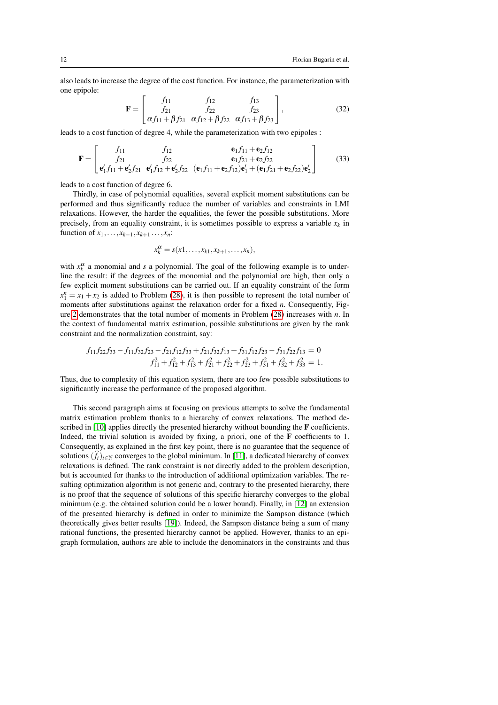also leads to increase the degree of the cost function. For instance, the parameterization with one epipole:

$$
\mathbf{F} = \begin{bmatrix} f_{11} & f_{12} & f_{13} \\ f_{21} & f_{22} & f_{23} \\ \alpha f_{11} + \beta f_{21} & \alpha f_{12} + \beta f_{22} & \alpha f_{13} + \beta f_{23} \end{bmatrix},
$$
(32)

leads to a cost function of degree 4, while the parameterization with two epipoles :

$$
\mathbf{F} = \begin{bmatrix} f_{11} & f_{12} & \mathbf{e}_1 f_{11} + \mathbf{e}_2 f_{12} \\ f_{21} & f_{22} & \mathbf{e}_1 f_{21} + \mathbf{e}_2 f_{22} \\ \mathbf{e}'_1 f_{11} + \mathbf{e}'_2 f_{21} & \mathbf{e}'_1 f_{12} + \mathbf{e}'_2 f_{22} & (\mathbf{e}_1 f_{11} + \mathbf{e}_2 f_{12}) \mathbf{e}'_1 + (\mathbf{e}_1 f_{21} + \mathbf{e}_2 f_{22}) \mathbf{e}'_2 \end{bmatrix}
$$
(33)

leads to a cost function of degree 6.

Thirdly, in case of polynomial equalities, several explicit moment substitutions can be performed and thus significantly reduce the number of variables and constraints in LMI relaxations. However, the harder the equalities, the fewer the possible substitutions. More precisely, from an equality constraint, it is sometimes possible to express a variable  $x_k$  in function of  $x_1, \ldots, x_{k-1}, x_{k+1}, \ldots, x_n$ :

$$
x_k^{\alpha} = s(x_1,\ldots,x_{k1},x_{k+1},\ldots,x_n),
$$

with  $x_k^{\alpha}$  a monomial and *s* a polynomial. The goal of the following example is to underline the result: if the degrees of the monomial and the polynomial are high, then only a few explicit moment substitutions can be carried out. If an equality constraint of the form  $x_1^n = x_1 + x_2$  is added to Problem [\(28\)](#page-8-1), it is then possible to represent the total number of moments after substitutions against the relaxation order for a fixed *n*. Consequently, Figure [2](#page-12-0) demonstrates that the total number of moments in Problem [\(28\)](#page-8-1) increases with *n*. In the context of fundamental matrix estimation, possible substitutions are given by the rank constraint and the normalization constraint, say:

$$
f_{11}f_{22}f_{33} - f_{11}f_{32}f_{23} - f_{21}f_{12}f_{33} + f_{21}f_{32}f_{13} + f_{31}f_{12}f_{23} - f_{31}f_{22}f_{13} = 0
$$
  

$$
f_{11}^2 + f_{12}^2 + f_{13}^2 + f_{21}^2 + f_{22}^2 + f_{23}^2 + f_{31}^2 + f_{32}^2 + f_{33}^2 = 1.
$$

Thus, due to complexity of this equation system, there are too few possible substitutions to significantly increase the performance of the proposed algorithm.

This second paragraph aims at focusing on previous attempts to solve the fundamental matrix estimation problem thanks to a hierarchy of convex relaxations. The method described in  $[10]$  applies directly the presented hierarchy without bounding the  $\bf{F}$  coefficients. Indeed, the trivial solution is avoided by fixing, a priori, one of the F coefficients to 1. Consequently, as explained in the first key point, there is no guarantee that the sequence of solutions  $(f_t)_{t\in\mathbb{N}}$  converges to the global minimum. In [\[11\]](#page-21-2), a dedicated hierarchy of convex relaxations is defined. The rank constraint is not directly added to the problem description, but is accounted for thanks to the introduction of additional optimization variables. The resulting optimization algorithm is not generic and, contrary to the presented hierarchy, there is no proof that the sequence of solutions of this specific hierarchy converges to the global minimum (e.g. the obtained solution could be a lower bound). Finally, in [\[12\]](#page-22-0) an extension of the presented hierarchy is defined in order to minimize the Sampson distance (which theoretically gives better results [\[19\]](#page-23-1)). Indeed, the Sampson distance being a sum of many rational functions, the presented hierarchy cannot be applied. However, thanks to an epigraph formulation, authors are able to include the denominators in the constraints and thus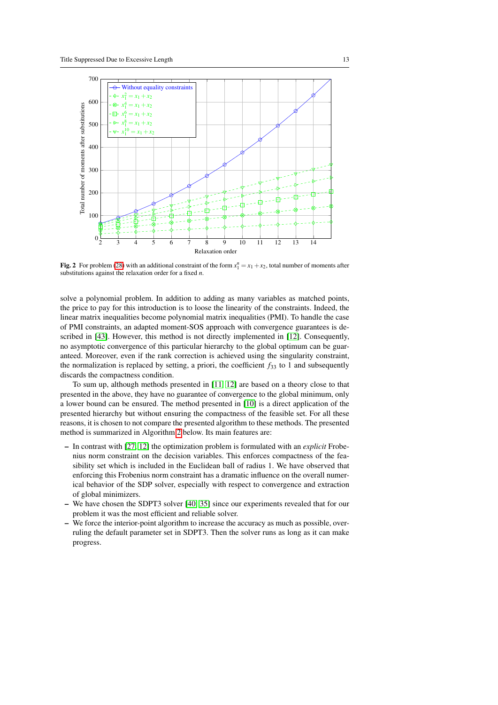

<span id="page-12-0"></span>Fig. 2 For problem [\(28\)](#page-8-1) with an additional constraint of the form  $x_1^n = x_1 + x_2$ , total number of moments after substitutions against the relaxation order for a fixed *n*.

solve a polynomial problem. In addition to adding as many variables as matched points, the price to pay for this introduction is to loose the linearity of the constraints. Indeed, the linear matrix inequalities become polynomial matrix inequalities (PMI). To handle the case of PMI constraints, an adapted moment-SOS approach with convergence guarantees is described in [\[43\]](#page-28-0). However, this method is not directly implemented in [\[12\]](#page-22-0). Consequently, no asymptotic convergence of this particular hierarchy to the global optimum can be guaranteed. Moreover, even if the rank correction is achieved using the singularity constraint, the normalization is replaced by setting, a priori, the coefficient  $f_{33}$  to 1 and subsequently discards the compactness condition.

To sum up, although methods presented in [\[11,](#page-21-2) [12\]](#page-22-0) are based on a theory close to that presented in the above, they have no guarantee of convergence to the global minimum, only a lower bound can be ensured. The method presented in [\[10\]](#page-21-1) is a direct application of the presented hierarchy but without ensuring the compactness of the feasible set. For all these reasons, it is chosen to not compare the presented algorithm to these methods. The presented method is summarized in Algorithm [2](#page-13-0) below. Its main features are:

- In contrast with [\[27,](#page-24-6) [12\]](#page-22-0) the optimization problem is formulated with an *explicit* Frobenius norm constraint on the decision variables. This enforces compactness of the feasibility set which is included in the Euclidean ball of radius 1. We have observed that enforcing this Frobenius norm constraint has a dramatic influence on the overall numerical behavior of the SDP solver, especially with respect to convergence and extraction of global minimizers.
- We have chosen the SDPT3 solver [\[40,](#page-27-4) [35\]](#page-26-2) since our experiments revealed that for our problem it was the most efficient and reliable solver.
- We force the interior-point algorithm to increase the accuracy as much as possible, overruling the default parameter set in SDPT3. Then the solver runs as long as it can make progress.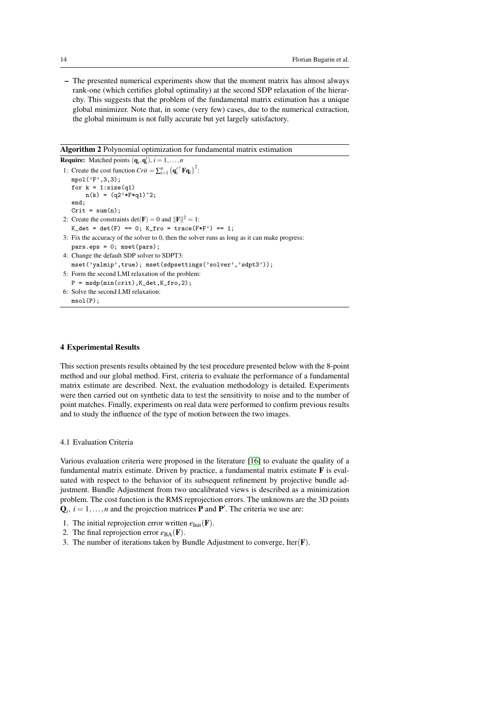– The presented numerical experiments show that the moment matrix has almost always rank-one (which certifies global optimality) at the second SDP relaxation of the hierarchy. This suggests that the problem of the fundamental matrix estimation has a unique global minimizer. Note that, in some (very few) cases, due to the numerical extraction, the global minimum is not fully accurate but yet largely satisfactory.

<span id="page-13-0"></span>Algorithm 2 Polynomial optimization for fundamental matrix estimation

```
Require: Matched points (\mathbf{q}_i, \mathbf{q}'_i), i = 1, \ldots, n1: Create the cost function Crit = \sum_{i=1}^{n} (\mathbf{q}'_i^\top \mathbf{F} \mathbf{q}_i)^2:
   mpol('F',3,3);
    for k = 1: size(q1)
        n(k) = (q2' * F * q1)^2;end;
    Crit = sum(n);2: Create the constraints det(\mathbf{F}) = 0 and \|\mathbf{F}\|^2 = 1:
    K_{\text{d}} = det(F) = 0; K_{\text{r}} = trace(F*F') = 1;
3: Fix the accuracy of the solver to 0, then the solver runs as long as it can make progress:
   pars.eps = 0; mset(pars);4: Change the default SDP solver to SDPT3:
   mset('yalmip',true); mset(sdpsettings('solver','sdpt3'));
5: Form the second LMI relaxation of the problem:
   P = msgp(min(crit), Kdet, K_fro, 2);6: Solve the second LMI relaxation:
   msol(P);
```
### 4 Experimental Results

This section presents results obtained by the test procedure presented below with the 8-point method and our global method. First, criteria to evaluate the performance of a fundamental matrix estimate are described. Next, the evaluation methodology is detailed. Experiments were then carried out on synthetic data to test the sensitivity to noise and to the number of point matches. Finally, experiments on real data were performed to confirm previous results and to study the influence of the type of motion between the two images.

4.1 Evaluation Criteria

Various evaluation criteria were proposed in the literature [\[16\]](#page-22-4) to evaluate the quality of a fundamental matrix estimate. Driven by practice, a fundamental matrix estimate F is evaluated with respect to the behavior of its subsequent refinement by projective bundle adjustment. Bundle Adjustment from two uncalibrated views is described as a minimization problem. The cost function is the RMS reprojection errors. The unknowns are the 3D points  $Q_i$ ,  $i = 1, \ldots, n$  and the projection matrices **P** and **P**'. The criteria we use are:

- 1. The initial reprojection error written  $e_{\text{Init}}(\mathbf{F})$ .
- 2. The final reprojection error  $e_{BA}(\mathbf{F})$ .
- 3. The number of iterations taken by Bundle Adjustment to converge, Iter $(F)$ .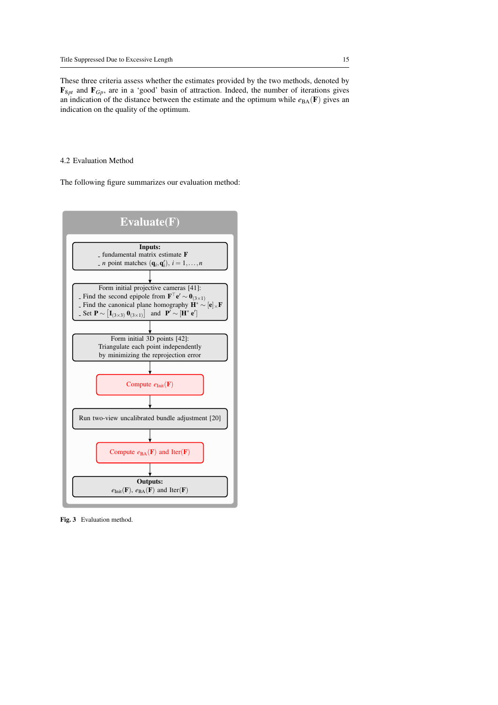These three criteria assess whether the estimates provided by the two methods, denoted by  $\mathbf{F}_{8pt}$  and  $\mathbf{F}_{Gp}$ , are in a 'good' basin of attraction. Indeed, the number of iterations gives an indication of the distance between the estimate and the optimum while  $e_{BA}(F)$  gives an indication on the quality of the optimum.

# 4.2 Evaluation Method

The following figure summarizes our evaluation method:



Fig. 3 Evaluation method.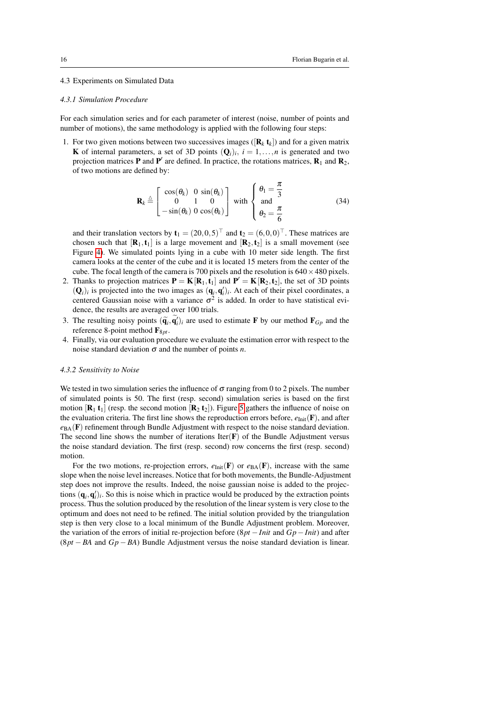# 4.3 Experiments on Simulated Data

#### *4.3.1 Simulation Procedure*

For each simulation series and for each parameter of interest (noise, number of points and number of motions), the same methodology is applied with the following four steps:

1. For two given motions between two successives images ( $[\mathbf{R}_k \, \mathbf{t}_k]$ ) and for a given matrix **K** of internal parameters, a set of 3D points  $(Q_i)_i$ ,  $i = 1, ..., n$  is generated and two projection matrices **P** and **P**' are defined. In practice, the rotations matrices,  $\mathbf{R}_1$  and  $\mathbf{R}_2$ , of two motions are defined by:

$$
\mathbf{R}_{k} \stackrel{\Delta}{=} \begin{bmatrix} \cos(\theta_{k}) & 0 & \sin(\theta_{k}) \\ 0 & 1 & 0 \\ -\sin(\theta_{k}) & 0 & \cos(\theta_{k}) \end{bmatrix} \text{ with } \begin{cases} \theta_{1} = \frac{\pi}{3} \\ \text{and} \\ \theta_{2} = \frac{\pi}{6} \end{cases}
$$
(34)

and their translation vectors by  $\mathbf{t}_1 = (20, 0, 5)^{\top}$  and  $\mathbf{t}_2 = (6, 0, 0)^{\top}$ . These matrices are chosen such that  $[\mathbf{R}_1, \mathbf{t}_1]$  is a large movement and  $[\mathbf{R}_2, \mathbf{t}_2]$  is a small movement (see Figure [4\)](#page-16-0). We simulated points lying in a cube with 10 meter side length. The first camera looks at the center of the cube and it is located 15 meters from the center of the cube. The focal length of the camera is 700 pixels and the resolution is  $640 \times 480$  pixels.

- 2. Thanks to projection matrices  $P = K[R_1, t_1]$  and  $P' = K[R_2, t_2]$ , the set of 3D points  $(Q_i)_i$  is projected into the two images as  $(q_i, q'_i)_i$ . At each of their pixel coordinates, a centered Gaussian noise with a variance  $\sigma^2$  is added. In order to have statistical evidence, the results are averaged over 100 trials.
- 3. The resulting noisy points  $(\tilde{\mathbf{q}}_i, \mathbf{q}'_i)_i$  are used to estimate **F** by our method  $\mathbf{F}_{G_p}$  and the reference 8-point method  $\mathbf{F}_{8pt}$ .
- 4. Finally, via our evaluation procedure we evaluate the estimation error with respect to the noise standard deviation  $\sigma$  and the number of points *n*.

### *4.3.2 Sensitivity to Noise*

We tested in two simulation series the influence of  $\sigma$  ranging from 0 to 2 pixels. The number of simulated points is 50. The first (resp. second) simulation series is based on the first motion  $[\mathbf{R}_1 \mathbf{t}_1]$  (resp. the second motion  $[\mathbf{R}_2 \mathbf{t}_2]$ ). Figure [5](#page-17-0) gathers the influence of noise on the evaluation criteria. The first line shows the reproduction errors before,  $e_{Init}(\mathbf{F})$ , and after  $e_{BA}$ (F) refinement through Bundle Adjustment with respect to the noise standard deviation. The second line shows the number of iterations Iter $(F)$  of the Bundle Adjustment versus the noise standard deviation. The first (resp. second) row concerns the first (resp. second) motion.

For the two motions, re-projection errors,  $e_{\text{Init}}(\mathbf{F})$  or  $e_{\text{BA}}(\mathbf{F})$ , increase with the same slope when the noise level increases. Notice that for both movements, the Bundle-Adjustment step does not improve the results. Indeed, the noise gaussian noise is added to the projections  $(q_i, q'_i)_i$ . So this is noise which in practice would be produced by the extraction points process. Thus the solution produced by the resolution of the linear system is very close to the optimum and does not need to be refined. The initial solution provided by the triangulation step is then very close to a local minimum of the Bundle Adjustment problem. Moreover, the variation of the errors of initial re-projection before (8*pt* −*Init* and *Gp*−*Init*) and after (8*pt* − *BA* and *Gp* − *BA*) Bundle Adjustment versus the noise standard deviation is linear.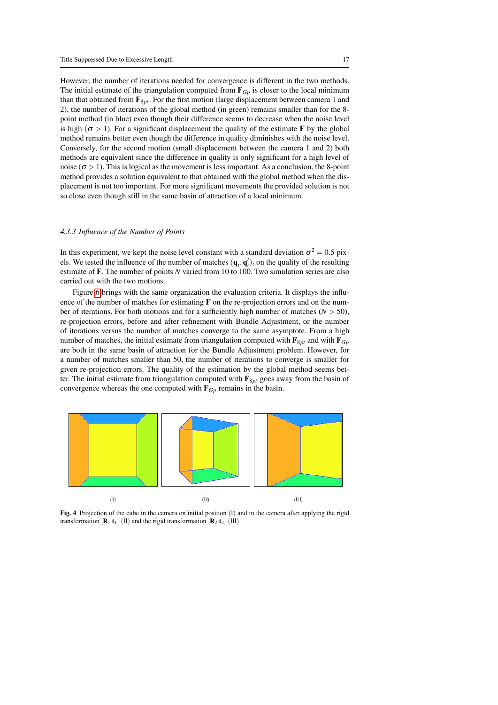However, the number of iterations needed for convergence is different in the two methods. The initial estimate of the triangulation computed from  $\mathbf{F}_{Gp}$  is closer to the local minimum than that obtained from  $\mathbf{F}_{8pt}$ . For the first motion (large displacement between camera 1 and 2), the number of iterations of the global method (in green) remains smaller than for the 8 point method (in blue) even though their difference seems to decrease when the noise level is high ( $\sigma > 1$ ). For a significant displacement the quality of the estimate **F** by the global method remains better even though the difference in quality diminishes with the noise level. Conversely, for the second motion (small displacement between the camera 1 and 2) both methods are equivalent since the difference in quality is only significant for a high level of noise ( $\sigma > 1$ ). This is logical as the movement is less important. As a conclusion, the 8-point method provides a solution equivalent to that obtained with the global method when the displacement is not too important. For more significant movements the provided solution is not so close even though still in the same basin of attraction of a local minimum.

#### *4.3.3 Influence of the Number of Points*

In this experiment, we kept the noise level constant with a standard deviation  $\sigma^2 = 0.5$  pixels. We tested the influence of the number of matches  $(q_i, q'_i)_i$  on the quality of the resulting estimate of F. The number of points *N* varied from 10 to 100. Two simulation series are also carried out with the two motions.

Figure [6](#page-18-0) brings with the same organization the evaluation criteria. It displays the influence of the number of matches for estimating  $\bf{F}$  on the re-projection errors and on the number of iterations. For both motions and for a sufficiently high number of matches  $(N > 50)$ , re-projection errors, before and after refinement with Bundle Adjustment, or the number of iterations versus the number of matches converge to the same asymptote. From a high number of matches, the initial estimate from triangulation computed with  $\mathbf{F}_{8pt}$  and with  $\mathbf{F}_{Gp}$ are both in the same basin of attraction for the Bundle Adjustment problem. However, for a number of matches smaller than 50, the number of iterations to converge is smaller for given re-projection errors. The quality of the estimation by the global method seems better. The initial estimate from triangulation computed with  $\mathbf{F}_{8pt}$  goes away from the basin of convergence whereas the one computed with  $\mathbf{F}_{G_p}$  remains in the basin.



<span id="page-16-0"></span>Fig. 4 Projection of the cube in the camera on initial position (I) and in the camera after applying the rigid transformation  $[\mathbf{R}_1 \mathbf{t}_1]$  (II) and the rigid transformation  $[\mathbf{R}_2 \mathbf{t}_2]$  (III).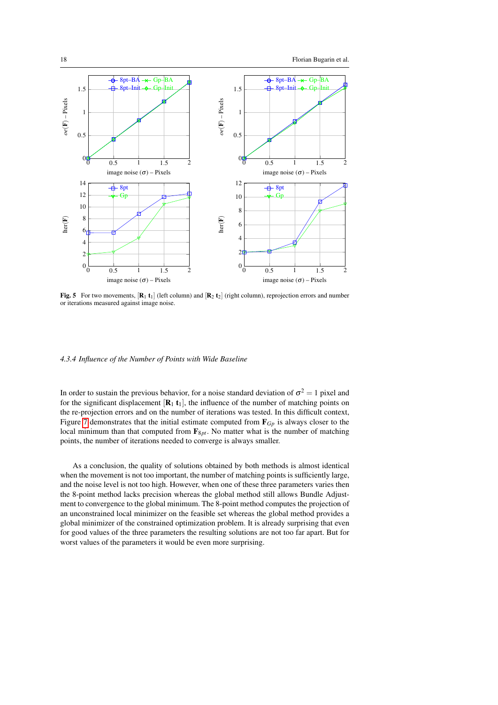

<span id="page-17-0"></span>Fig. 5 For two movements,  $[\mathbf{R}_1 \mathbf{t}_1]$  (left column) and  $[\mathbf{R}_2 \mathbf{t}_2]$  (right column), reprojection errors and number or iterations measured against image noise.

### *4.3.4 Influence of the Number of Points with Wide Baseline*

In order to sustain the previous behavior, for a noise standard deviation of  $\sigma^2 = 1$  pixel and for the significant displacement  $[\mathbf{R}_1 \mathbf{t}_1]$ , the influence of the number of matching points on the re-projection errors and on the number of iterations was tested. In this difficult context, Figure [7](#page-18-1) demonstrates that the initial estimate computed from F*Gp* is always closer to the local minimum than that computed from  $\mathbf{F}_{8pt}$ . No matter what is the number of matching points, the number of iterations needed to converge is always smaller.

As a conclusion, the quality of solutions obtained by both methods is almost identical when the movement is not too important, the number of matching points is sufficiently large, and the noise level is not too high. However, when one of these three parameters varies then the 8-point method lacks precision whereas the global method still allows Bundle Adjustment to convergence to the global minimum. The 8-point method computes the projection of an unconstrained local minimizer on the feasible set whereas the global method provides a global minimizer of the constrained optimization problem. It is already surprising that even for good values of the three parameters the resulting solutions are not too far apart. But for worst values of the parameters it would be even more surprising.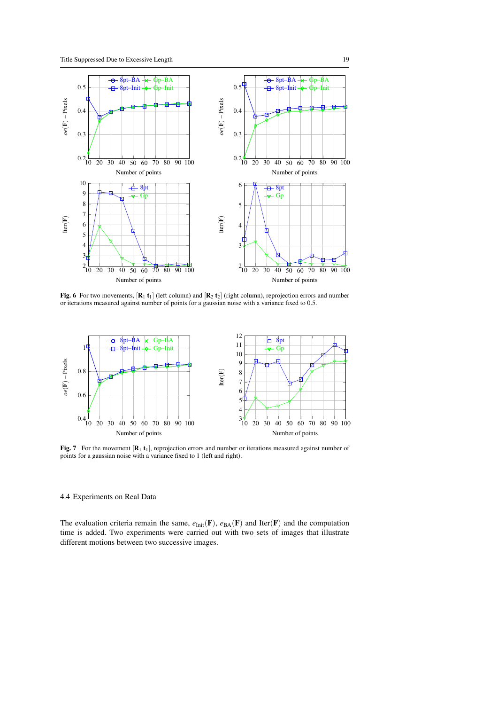

<span id="page-18-0"></span>Fig. 6 For two movements,  $[R_1 t_1]$  (left column) and  $[R_2 t_2]$  (right column), reprojection errors and number or iterations measured against number of points for a gaussian noise with a variance fixed to 0.5.



<span id="page-18-1"></span>Fig. 7 For the movement  $\left[\mathbf{R}_1 \, \mathbf{t}_1\right]$ , reprojection errors and number or iterations measured against number of points for a gaussian noise with a variance fixed to 1 (left and right).

# 4.4 Experiments on Real Data

The evaluation criteria remain the same,  $e_{\text{Init}}(\mathbf{F})$ ,  $e_{\text{BA}}(\mathbf{F})$  and Iter( $\mathbf{F}$ ) and the computation time is added. Two experiments were carried out with two sets of images that illustrate different motions between two successive images.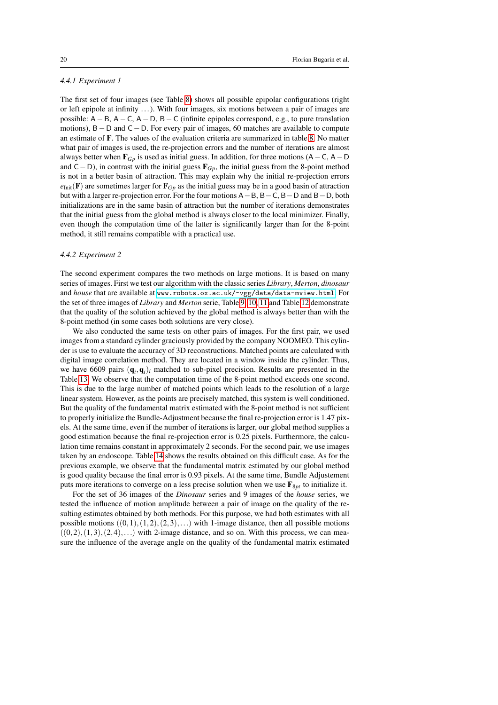### *4.4.1 Experiment 1*

The first set of four images (see Table [8\)](#page-21-3) shows all possible epipolar configurations (right or left epipole at infinity ...). With four images, six motions between a pair of images are possible:  $A - B$ ,  $A - C$ ,  $A - D$ ,  $B - C$  (infinite epipoles correspond, e.g., to pure translation motions), B−D and C−D. For every pair of images, 60 matches are available to compute an estimate of F. The values of the evaluation criteria are summarized in table [8.](#page-21-3) No matter what pair of images is used, the re-projection errors and the number of iterations are almost always better when  $\mathbf{F}_{Gp}$  is used as initial guess. In addition, for three motions (A – C, A – D and C−D), in contrast with the initial guess F*Gp*, the initial guess from the 8-point method is not in a better basin of attraction. This may explain why the initial re-projection errors  $e_{\text{Init}}(\mathbf{F})$  are sometimes larger for  $\mathbf{F}_{G_p}$  as the initial guess may be in a good basin of attraction but with a larger re-projection error. For the four motions A−B, B−C, B−D and B−D, both initializations are in the same basin of attraction but the number of iterations demonstrates that the initial guess from the global method is always closer to the local minimizer. Finally, even though the computation time of the latter is significantly larger than for the 8-point method, it still remains compatible with a practical use.

### *4.4.2 Experiment 2*

The second experiment compares the two methods on large motions. It is based on many series of images. First we test our algorithm with the classic series *Library*, *Merton*, *dinosaur* and *house* that are available at <www.robots.ox.ac.uk/~vgg/data/data-mview.html>. For the set of three images of *Library* and *Merton* serie, Table [9,](#page-22-6) [10,](#page-22-7) [11](#page-23-3) and Table [12](#page-23-4) demonstrate that the quality of the solution achieved by the global method is always better than with the 8-point method (in some cases both solutions are very close).

We also conducted the same tests on other pairs of images. For the first pair, we used images from a standard cylinder graciously provided by the company NOOMEO. This cylinder is use to evaluate the accuracy of 3D reconstructions. Matched points are calculated with digital image correlation method. They are located in a window inside the cylinder. Thus, we have 6609 pairs  $(q_i, q_i)$ *i* matched to sub-pixel precision. Results are presented in the Table [13.](#page-24-7) We observe that the computation time of the 8-point method exceeds one second. This is due to the large number of matched points which leads to the resolution of a large linear system. However, as the points are precisely matched, this system is well conditioned. But the quality of the fundamental matrix estimated with the 8-point method is not sufficient to properly initialize the Bundle-Adjustment because the final re-projection error is 1.47 pixels. At the same time, even if the number of iterations is larger, our global method supplies a good estimation because the final re-projection error is 0.25 pixels. Furthermore, the calculation time remains constant in approximately 2 seconds. For the second pair, we use images taken by an endoscope. Table [14](#page-24-8) shows the results obtained on this difficult case. As for the previous example, we observe that the fundamental matrix estimated by our global method is good quality because the final error is 0.93 pixels. At the same time, Bundle Adjustement puts more iterations to converge on a less precise solution when we use  $\mathbf{F}_{8pt}$  to initialize it.

For the set of 36 images of the *Dinosaur* series and 9 images of the *house* series, we tested the influence of motion amplitude between a pair of image on the quality of the resulting estimates obtained by both methods. For this purpose, we had both estimates with all possible motions  $((0,1),(1,2),(2,3),...)$  with 1-image distance, then all possible motions  $((0,2),(1,3),(2,4),...)$  with 2-image distance, and so on. With this process, we can measure the influence of the average angle on the quality of the fundamental matrix estimated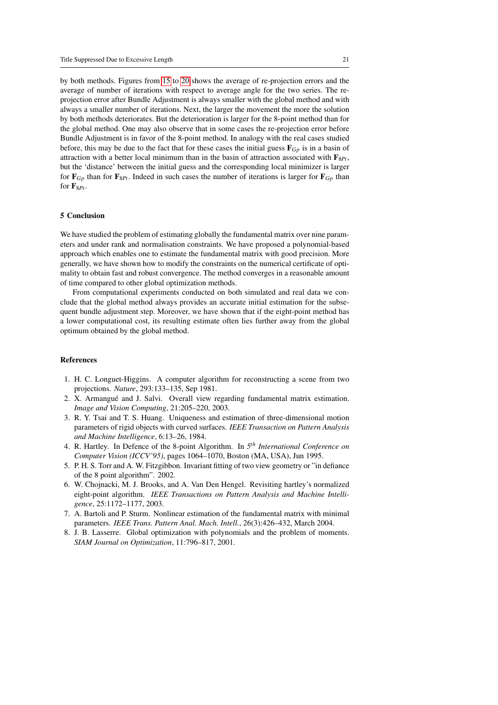by both methods. Figures from [15](#page-25-5) to [20](#page-27-5) shows the average of re-projection errors and the average of number of iterations with respect to average angle for the two series. The reprojection error after Bundle Adjustment is always smaller with the global method and with always a smaller number of iterations. Next, the larger the movement the more the solution by both methods deteriorates. But the deterioration is larger for the 8-point method than for the global method. One may also observe that in some cases the re-projection error before Bundle Adjustment is in favor of the 8-point method. In analogy with the real cases studied before, this may be due to the fact that for these cases the initial guess  $\mathbf{F}_{G_p}$  is in a basin of attraction with a better local minimum than in the basin of attraction associated with  $\mathbf{F}_{8}$ <sub> $P_t$ </sub>, but the 'distance' between the initial guess and the corresponding local minimizer is larger for  $\mathbf{F}_{Gp}$  than for  $\mathbf{F}_{8Pt}$ . Indeed in such cases the number of iterations is larger for  $\mathbf{F}_{Gp}$  than for  $\mathbf{F}_{8Pt}$ .

# 5 Conclusion

We have studied the problem of estimating globally the fundamental matrix over nine parameters and under rank and normalisation constraints. We have proposed a polynomial-based approach which enables one to estimate the fundamental matrix with good precision. More generally, we have shown how to modify the constraints on the numerical certificate of optimality to obtain fast and robust convergence. The method converges in a reasonable amount of time compared to other global optimization methods.

From computational experiments conducted on both simulated and real data we conclude that the global method always provides an accurate initial estimation for the subsequent bundle adjustment step. Moreover, we have shown that if the eight-point method has a lower computational cost, its resulting estimate often lies further away from the global optimum obtained by the global method.

# References

- <span id="page-20-0"></span>1. H. C. Longuet-Higgins. A computer algorithm for reconstructing a scene from two projections. *Nature*, 293:133–135, Sep 1981.
- <span id="page-20-1"></span>2. X. Armangué and J. Salvi. Overall view regarding fundamental matrix estimation. *Image and Vision Computing*, 21:205–220, 2003.
- <span id="page-20-2"></span>3. R. Y. Tsai and T. S. Huang. Uniqueness and estimation of three-dimensional motion parameters of rigid objects with curved surfaces. *IEEE Transaction on Pattern Analysis and Machine Intelligence*, 6:13–26, 1984.
- <span id="page-20-3"></span>4. R. Hartley. In Defence of the 8-point Algorithm. In *5 th International Conference on Computer Vision (ICCV'95)*, pages 1064–1070, Boston (MA, USA), Jun 1995.
- <span id="page-20-4"></span>5. P. H. S. Torr and A. W. Fitzgibbon. Invariant fitting of two view geometry or "in defiance of the 8 point algorithm". 2002.
- <span id="page-20-5"></span>6. W. Chojnacki, M. J. Brooks, and A. Van Den Hengel. Revisiting hartley's normalized eight-point algorithm. *IEEE Transactions on Pattern Analysis and Machine Intelligence*, 25:1172–1177, 2003.
- <span id="page-20-6"></span>7. A. Bartoli and P. Sturm. Nonlinear estimation of the fundamental matrix with minimal parameters. *IEEE Trans. Pattern Anal. Mach. Intell.*, 26(3):426–432, March 2004.
- <span id="page-20-7"></span>8. J. B. Lasserre. Global optimization with polynomials and the problem of moments. *SIAM Journal on Optimization*, 11:796–817, 2001.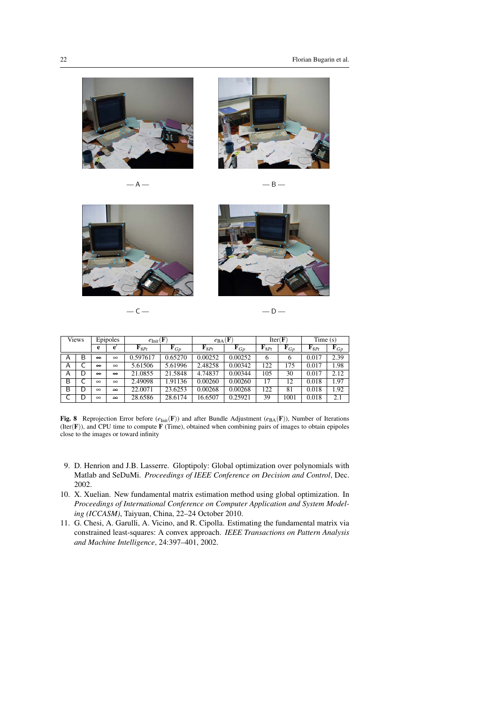

 $- A -$ 



$$
\mathsf{B} \mathop{\mathsf{--}}\nolimits
$$



 $-C -D -$ 



| <b>Views</b> |   | Epipoles          |                   | $e_{\text{Init}}(\mathbf{F})$ |                   | $e_{\text{BA}}(\mathbf{F})$ |                   | Iter(F)            |                | Time(s)            |                   |
|--------------|---|-------------------|-------------------|-------------------------------|-------------------|-----------------------------|-------------------|--------------------|----------------|--------------------|-------------------|
|              |   | e                 | e                 | $\mathbf{F}_{8Pt}$            | $\mathbf{F}_{Gp}$ | $\mathbf{F}_{8Pt}$          | $\mathbf{F}_{Gp}$ | $\mathbf{F}_{8Pt}$ | ${\bf F}_{Gp}$ | $\mathbf{F}_{8Pt}$ | $\mathbf{F}_{Gp}$ |
| A            | В | $\Theta$          | $\infty$          | 0.597617                      | 0.65270           | 0.00252                     | 0.00252           | 6                  | o              | 0.017              | 2.39              |
| Α            |   | $\infty$          | $\infty$          | 5.61506                       | 5.61996           | 2.48258                     | 0.00342           | 122                | 175            | 0.017              | 1.98              |
| А            | D | $\leftrightarrow$ | $\leftrightarrow$ | 21.0855                       | 21.5848           | 4.74837                     | 0.00344           | 105                | 30             | 0.017              | 2.12              |
| B            |   | $\infty$          | $\infty$          | 2.49098                       | 1.91136           | 0.00260                     | 0.00260           | 17                 | 12             | 0.018              | 1.97              |
| B            | D | $\infty$          | $\bullet$         | 22.0071                       | 23.6253           | 0.00268                     | 0.00268           | 122                | 81             | 0.018              | 1.92              |
|              | D | $\infty$          | $\Theta$          | 28.6586                       | 28.6174           | 16.6507                     | 0.25921           | 39                 | 1001           | 0.018              | 2.1               |

<span id="page-21-3"></span>Fig. 8 Reprojection Error before ( $e_{Init}$ (F)) and after Bundle Adjustment ( $e_{BA}$ (F)), Number of Iterations  $(Iter(F))$ , and CPU time to compute  $F$  (Time), obtained when combining pairs of images to obtain epipoles close to the images or toward infinity

- <span id="page-21-0"></span>9. D. Henrion and J.B. Lasserre. Gloptipoly: Global optimization over polynomials with Matlab and SeDuMi. *Proceedings of IEEE Conference on Decision and Control*, Dec. 2002.
- <span id="page-21-1"></span>10. X. Xuelian. New fundamental matrix estimation method using global optimization. In *Proceedings of International Conference on Computer Application and System Modeling (ICCASM)*, Taiyuan, China, 22–24 October 2010.
- <span id="page-21-2"></span>11. G. Chesi, A. Garulli, A. Vicino, and R. Cipolla. Estimating the fundamental matrix via constrained least-squares: A convex approach. *IEEE Transactions on Pattern Analysis and Machine Intelligence*, 24:397–401, 2002.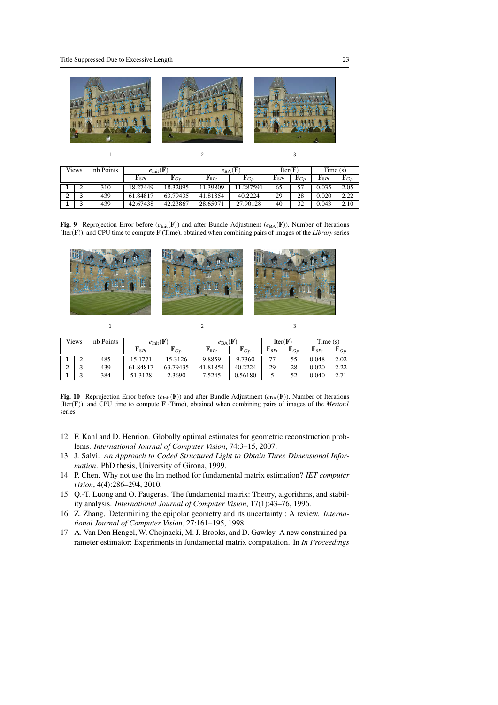

 $1$  2 3

| <b>Views</b> |        | nb Points | $e_{\text{Init}}($ F |                | $e_{BA}$ (F        | Iter(F)       |                    | Time(s)        |                    |                   |
|--------------|--------|-----------|----------------------|----------------|--------------------|---------------|--------------------|----------------|--------------------|-------------------|
|              |        |           | ${\bf F}8P_t$        | ${\bf r}_{Gp}$ | $\mathbf{F}_{8Pt}$ | ${\bf F} G_D$ | $\mathbf{F}_{8Pt}$ | ${\bf r}_{Gp}$ | $\mathbf{F}_{8Pt}$ | $\mathbf{F}_{Gp}$ |
|              |        | 310       | 18.27449             | 18.32095       | 11.39809           | 11.287591     | 65                 |                | 0.035              | 2.05              |
| $\sim$       | ົ      | 439       | 61.84817             | 63.79435       | 41.81854           | 40.2224       | 29                 | 28             | 0.020              | 2.22              |
|              | ົ<br>ت | 439       | 42.67438             | 42.23867       | 28.65971           | 27.90128      | 40                 | 32             | 0.043              | 2.10              |

<span id="page-22-6"></span>Fig. 9 Reprojection Error before  $(e_{\text{Init}}(F))$  and after Bundle Adjustment  $(e_{\text{BA}}(F))$ , Number of Iterations (Iter(F)), and CPU time to compute F (Time), obtained when combining pairs of images of the *Library* series



 $1$  2 3

| <b>Views</b> |        | nb Points | $e_{\text{Init}}(F)$ |                | $e_{\rm BA}$ (F    |                | Iter(F)            |               | Time(s)            |                        |
|--------------|--------|-----------|----------------------|----------------|--------------------|----------------|--------------------|---------------|--------------------|------------------------|
|              |        |           | $\mathbf{F}_{8Pt}$   | ${\bf r}_{Gp}$ | $\mathbf{F}_{8Pt}$ | ${\bf r}_{Gp}$ | $\mathbf{F}_{8Pt}$ | ${\bf F} G_D$ | $\mathbf{F}_{8Pt}$ | ${\bf F} G_D$          |
|              | ∼      | 485       | 15.1771              | 15.3126        | 9.8859             | 9.7360         |                    | 55            | 0.048              | 2.02                   |
| ⌒            | ⌒<br>ັ | 439       | 61.84817             | 63.79435       | 41.81854           | 40.2224        | 29                 | 28            | 0.020              | າ າາ<br><u>_ _ _ _</u> |
|              | ົ<br>ັ | 384       | 51.3128              | 2.3690         | 7.5245             | 0.56180        |                    | 52            | 0.040              | 271<br>4.11            |

<span id="page-22-7"></span>Fig. 10 Reprojection Error before  $(e_{\text{Init}}(F))$  and after Bundle Adjustment  $(e_{\text{BA}}(F))$ , Number of Iterations (Iter(F)), and CPU time to compute F (Time), obtained when combining pairs of images of the *Merton1* series

- <span id="page-22-0"></span>12. F. Kahl and D. Henrion. Globally optimal estimates for geometric reconstruction problems. *International Journal of Computer Vision*, 74:3–15, 2007.
- <span id="page-22-1"></span>13. J. Salvi. *An Approach to Coded Structured Light to Obtain Three Dimensional Information*. PhD thesis, University of Girona, 1999.
- <span id="page-22-2"></span>14. P. Chen. Why not use the lm method for fundamental matrix estimation? *IET computer vision*, 4(4):286–294, 2010.
- <span id="page-22-3"></span>15. Q.-T. Luong and O. Faugeras. The fundamental matrix: Theory, algorithms, and stability analysis. *International Journal of Computer Vision*, 17(1):43–76, 1996.
- <span id="page-22-4"></span>16. Z. Zhang. Determining the epipolar geometry and its uncertainty : A review. *International Journal of Computer Vision*, 27:161–195, 1998.
- <span id="page-22-5"></span>17. A. Van Den Hengel, W. Chojnacki, M. J. Brooks, and D. Gawley. A new constrained parameter estimator: Experiments in fundamental matrix computation. In *In Proceedings*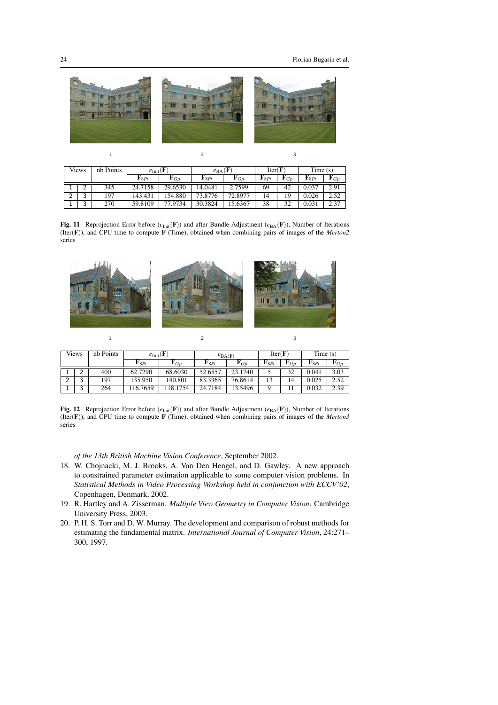

 $1$  2 3

| <b>Views</b> |        | nb Points |                    | $e_{\text{Init}}(F)$ |                    | Ŧ<br>$e_{BA}$     |                    | Iter(F)        |                    | Time(s)        |  |
|--------------|--------|-----------|--------------------|----------------------|--------------------|-------------------|--------------------|----------------|--------------------|----------------|--|
|              |        |           | $\mathbf{F}_{8Pt}$ | ${\bf F}_{Gp}$       | $\mathbf{F}_{8Pt}$ | $\mathbf{F}_{Gp}$ | $\mathbf{F}_{8Pt}$ | ${\bf F}_{Gp}$ | $\mathbf{F}_{8Pt}$ | ${\bf r}_{Gp}$ |  |
| ┻            |        | 345       | 24.7158            | 29.6530              | 14.0481            | 2.7599            | 69                 | 42             | 0.037              | 2.91           |  |
| ◠<br>∸       | っ<br>J | 97        | 143.431            | 154.880              | 73.8776            | 72.8977           | 14                 | 19             | 0.026              | 2.52           |  |
| ┻            | 3      | 270       | 59.8109            | 77.9734              | 30.3824            | 15.6367           | 38                 | 32             | 0.031              | 2.37           |  |

<span id="page-23-3"></span>Fig. 11 Reprojection Error before ( $e_{Init}(\mathbf{F})$ ) and after Bundle Adjustment ( $e_{BA}(\mathbf{F})$ ), Number of Iterations (Iter(F)), and CPU time to compute F (Time), obtained when combining pairs of images of the *Merton2* series



 $1$  2 3

| <b>Views</b> |                                 | nb Points | $e_{\text{Init}}(\mathbf{F})$ |                | $e_{BA(F)}$        |                   | Iter(F)            |                   | Time(s)            |                |
|--------------|---------------------------------|-----------|-------------------------------|----------------|--------------------|-------------------|--------------------|-------------------|--------------------|----------------|
|              |                                 |           | $\mathbf{F}_{8Pt}$            | ${\bf r}_{Gp}$ | $\mathbf{F}_{8Pt}$ | $\mathbf{F}_{Gp}$ | $\mathbf{F}_{8Pt}$ | $\mathbf{F}_{Gp}$ | $\mathbf{F}_{8Pt}$ | ${\bf F}_{Gp}$ |
|              | ∼                               | 400       | 62.7290                       | 68.6030        | 52.6557            | 23.1740           |                    | 32                | 0.041              | 3.03           |
| $\sim$       | $\overline{\phantom{0}}$<br>. . | 197       | 135.950                       | 140.801        | 83.3365            | 76.8614           | 13                 | 14                | 0.025              | 2.52           |
|              | $\overline{\phantom{0}}$<br>◡   | 264       | 16.7659                       | 118.1754       | 24.7184            | 13.5496           |                    |                   | 0.032              | 2.39           |

<span id="page-23-4"></span>Fig. 12 Reprojection Error before  $(e_{\text{Init}}(F))$  and after Bundle Adjustment  $(e_{\text{BA}}(F))$ , Number of Iterations (Iter(F)), and CPU time to compute F (Time), obtained when combining pairs of images of the *Merton3* series

*of the 13th British Machine Vision Conference*, September 2002.

- <span id="page-23-0"></span>18. W. Chojnacki, M. J. Brooks, A. Van Den Hengel, and D. Gawley. A new approach to constrained parameter estimation applicable to some computer vision problems. In *Statistical Methods in Video Processing Workshop held in conjunction with ECCV'02*, Copenhagen, Denmark, 2002.
- <span id="page-23-1"></span>19. R. Hartley and A. Zisserman. *Multiple View Geometry in Computer Vision*. Cambridge University Press, 2003.
- <span id="page-23-2"></span>20. P. H. S. Torr and D. W. Murray. The development and comparison of robust methods for estimating the fundamental matrix. *International Journal of Computer Vision*, 24:271– 300, 1997.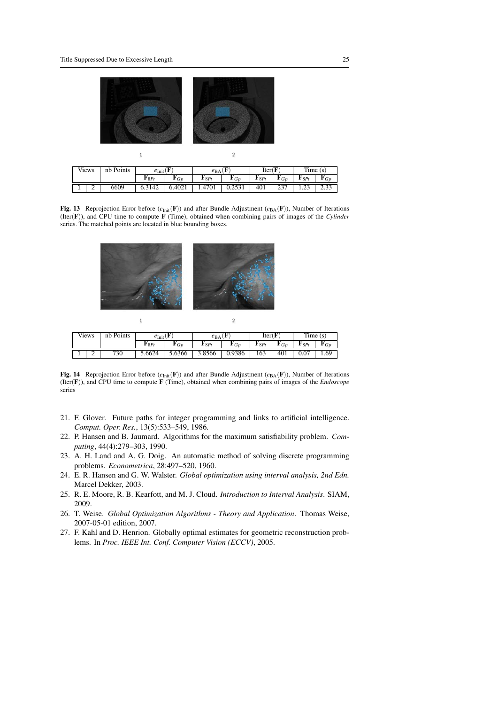$\mathbf{1}$ 

 $\bar{1}$ 



| Views    |   | nb Points | $e_{\text{Init}}$ ( $\bf{F}$ |        | $e_{BA}$ |                | Iter(F)            |                | Time(s)            |                      |
|----------|---|-----------|------------------------------|--------|----------|----------------|--------------------|----------------|--------------------|----------------------|
|          |   |           | $\mathbf{r}_{8Pt}$           | Gp     | "8Pt     | ${\bf r}_{Gp}$ | $\mathbf{F}_{8Pt}$ | $\blacksquare$ | $\mathbf{F}_{8Pt}$ | $\blacksquare$ $G_D$ |
| <b>.</b> | ∸ | 6609      |                              | 6.4021 | 1.4701   | 0.2531         | 401                | ا ت            | າາ<br>رے ۔ 1       | 2.33                 |

<span id="page-24-7"></span>Fig. 13 Reprojection Error before  $(e_{Init}(\mathbf{F}))$  and after Bundle Adjustment  $(e_{BA}(\mathbf{F}))$ , Number of Iterations (Iter(F)), and CPU time to compute F (Time), obtained when combining pairs of images of the *Cylinder* series. The matched points are located in blue bounding boxes.



| Views |        | nb Points | $e_{\text{Init}}$ ( $\bf{r}$ |              | $e_{BA}$ |        | Iter( |                             | Time<br>(S |      |
|-------|--------|-----------|------------------------------|--------------|----------|--------|-------|-----------------------------|------------|------|
|       |        |           | $\mathbf{r}_{8Pt}$           | $\sim$<br>GD | "8Pt     | 'Gp    | "8Pt  | $\tilde{\phantom{a}}$<br>GD | $P_{8Pt}$  |      |
|       | -<br>∽ | 730       | 5.6624                       | 5.6366       | 3.8566   | 0.9386 | 163   | 401                         | 0.07       | 1.69 |

 $\overline{2}$ 

<span id="page-24-8"></span>Fig. 14 Reprojection Error before  $(e_{Init}(\mathbf{F}))$  and after Bundle Adjustment  $(e_{BA}(\mathbf{F}))$ , Number of Iterations (Iter(F)), and CPU time to compute F (Time), obtained when combining pairs of images of the *Endoscope* series

- <span id="page-24-0"></span>21. F. Glover. Future paths for integer programming and links to artificial intelligence. *Comput. Oper. Res.*, 13(5):533–549, 1986.
- <span id="page-24-1"></span>22. P. Hansen and B. Jaumard. Algorithms for the maximum satisfiability problem. *Computing*, 44(4):279–303, 1990.
- <span id="page-24-2"></span>23. A. H. Land and A. G. Doig. An automatic method of solving discrete programming problems. *Econometrica*, 28:497–520, 1960.
- <span id="page-24-3"></span>24. E. R. Hansen and G. W. Walster. *Global optimization using interval analysis, 2nd Edn.* Marcel Dekker, 2003.
- <span id="page-24-4"></span>25. R. E. Moore, R. B. Kearfott, and M. J. Cloud. *Introduction to Interval Analysis*. SIAM, 2009.
- <span id="page-24-5"></span>26. T. Weise. *Global Optimization Algorithms - Theory and Application*. Thomas Weise, 2007-05-01 edition, 2007.
- <span id="page-24-6"></span>27. F. Kahl and D. Henrion. Globally optimal estimates for geometric reconstruction problems. In *Proc. IEEE Int. Conf. Computer Vision (ECCV)*, 2005.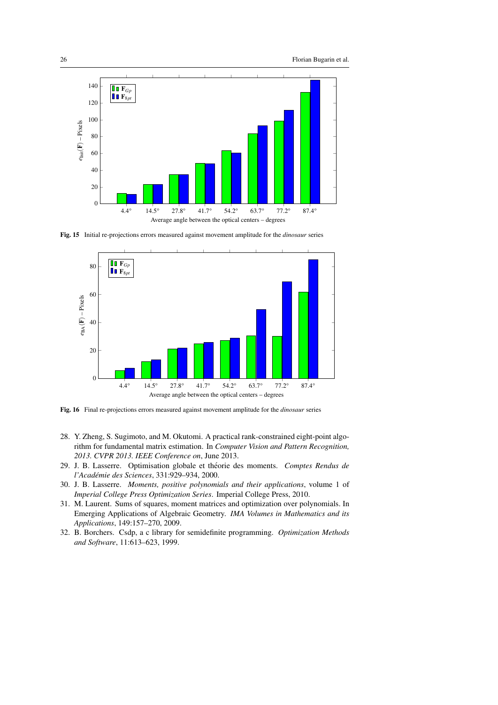

Fig. 15 Initial re-projections errors measured against movement amplitude for the *dinosaur* series

<span id="page-25-5"></span>

Fig. 16 Final re-projections errors measured against movement amplitude for the *dinosaur* series

- <span id="page-25-0"></span>28. Y. Zheng, S. Sugimoto, and M. Okutomi. A practical rank-constrained eight-point algorithm for fundamental matrix estimation. In *Computer Vision and Pattern Recognition, 2013. CVPR 2013. IEEE Conference on*, June 2013.
- <span id="page-25-1"></span>29. J. B. Lasserre. Optimisation globale et theorie des moments. ´ *Comptes Rendus de l'Academie des Sciences ´* , 331:929–934, 2000.
- <span id="page-25-2"></span>30. J. B. Lasserre. *Moments, positive polynomials and their applications*, volume 1 of *Imperial College Press Optimization Series*. Imperial College Press, 2010.
- <span id="page-25-3"></span>31. M. Laurent. Sums of squares, moment matrices and optimization over polynomials. In Emerging Applications of Algebraic Geometry. *IMA Volumes in Mathematics and its Applications*, 149:157–270, 2009.
- <span id="page-25-4"></span>32. B. Borchers. Csdp, a c library for semidefinite programming. *Optimization Methods and Software*, 11:613–623, 1999.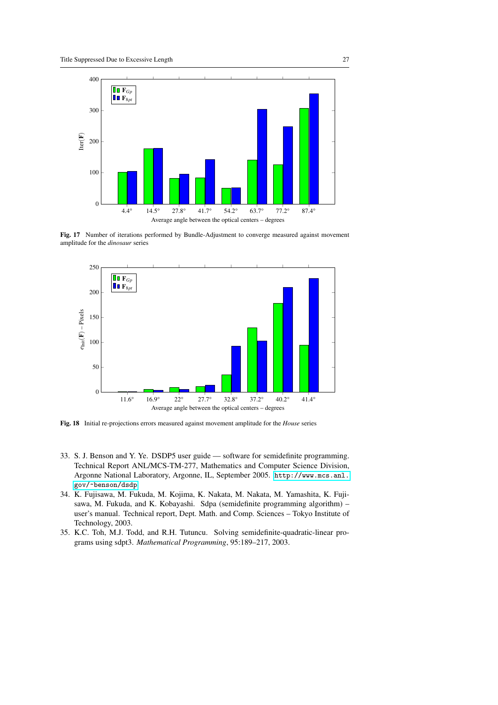

Fig. 17 Number of iterations performed by Bundle-Adjustment to converge measured against movement amplitude for the *dinosaur* series



Fig. 18 Initial re-projections errors measured against movement amplitude for the *House* series

- <span id="page-26-0"></span>33. S. J. Benson and Y. Ye. DSDP5 user guide — software for semidefinite programming. Technical Report ANL/MCS-TM-277, Mathematics and Computer Science Division, Argonne National Laboratory, Argonne, IL, September 2005. [http://www.mcs.anl.](http://www.mcs.anl.gov/~benson/dsdp) [gov/~benson/dsdp](http://www.mcs.anl.gov/~benson/dsdp).
- <span id="page-26-1"></span>34. K. Fujisawa, M. Fukuda, M. Kojima, K. Nakata, M. Nakata, M. Yamashita, K. Fujisawa, M. Fukuda, and K. Kobayashi. Sdpa (semidefinite programming algorithm) – user's manual. Technical report, Dept. Math. and Comp. Sciences – Tokyo Institute of Technology, 2003.
- <span id="page-26-2"></span>35. K.C. Toh, M.J. Todd, and R.H. Tutuncu. Solving semidefinite-quadratic-linear programs using sdpt3. *Mathematical Programming*, 95:189–217, 2003.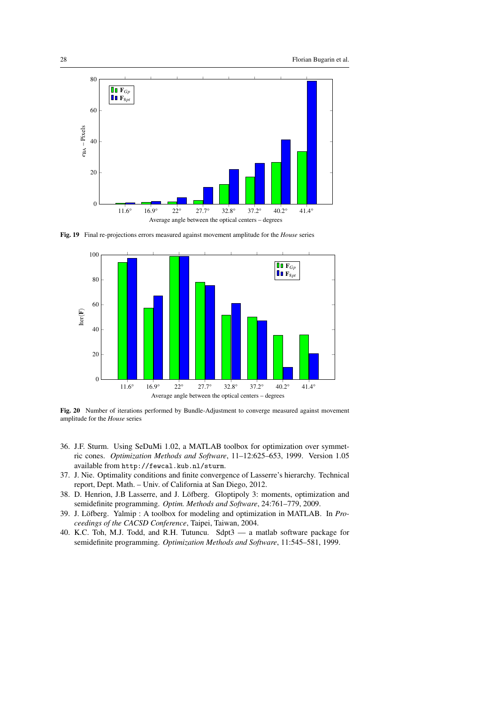

Fig. 19 Final re-projections errors measured against movement amplitude for the *House* series



<span id="page-27-5"></span>Fig. 20 Number of iterations performed by Bundle-Adjustment to converge measured against movement amplitude for the *House* series

- <span id="page-27-0"></span>36. J.F. Sturm. Using SeDuMi 1.02, a MATLAB toolbox for optimization over symmetric cones. *Optimization Methods and Software*, 11–12:625–653, 1999. Version 1.05 available from http://fewcal.kub.nl/sturm.
- <span id="page-27-1"></span>37. J. Nie. Optimality conditions and finite convergence of Lasserre's hierarchy. Technical report, Dept. Math. – Univ. of California at San Diego, 2012.
- <span id="page-27-2"></span>38. D. Henrion, J.B Lasserre, and J. Löfberg. Gloptipoly 3: moments, optimization and semidefinite programming. *Optim. Methods and Software*, 24:761–779, 2009.
- <span id="page-27-3"></span>39. J. Löfberg. Yalmip : A toolbox for modeling and optimization in MATLAB. In Pro*ceedings of the CACSD Conference*, Taipei, Taiwan, 2004.
- <span id="page-27-4"></span>40. K.C. Toh, M.J. Todd, and R.H. Tutuncu. Sdpt3 — a matlab software package for semidefinite programming. *Optimization Methods and Software*, 11:545–581, 1999.